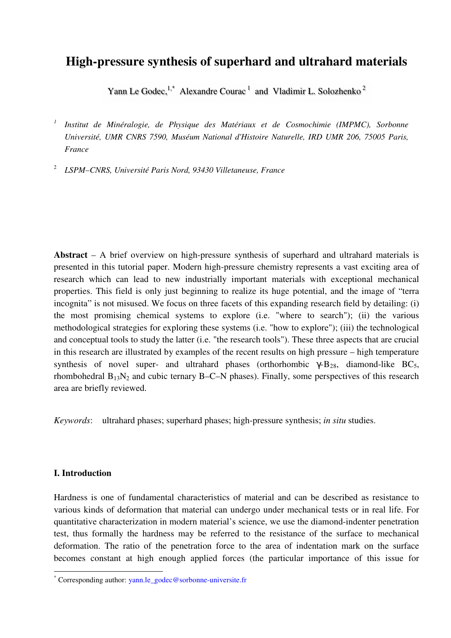# **High-pressure synthesis of superhard and ultrahard materials**

Yann Le Godec,  $1$ <sup>\*</sup> Alexandre Courac<sup>1</sup> and Vladimir L. Solozhenko<sup>2</sup>

*1 Institut de Minéralogie, de Physique des Matériaux et de Cosmochimie (IMPMC), Sorbonne Université, UMR CNRS 7590, Muséum National d'Histoire Naturelle, IRD UMR 206, 75005 Paris, France* 

2  *LSPM–CNRS, Université Paris Nord, 93430 Villetaneuse, France*

**Abstract** – A brief overview on high-pressure synthesis of superhard and ultrahard materials is presented in this tutorial paper. Modern high-pressure chemistry represents a vast exciting area of research which can lead to new industrially important materials with exceptional mechanical properties. This field is only just beginning to realize its huge potential, and the image of "terra incognita" is not misused. We focus on three facets of this expanding research field by detailing: (i) the most promising chemical systems to explore (i.e. "where to search"); (ii) the various methodological strategies for exploring these systems (i.e. "how to explore"); (iii) the technological and conceptual tools to study the latter (i.e. "the research tools"). These three aspects that are crucial in this research are illustrated by examples of the recent results on high pressure – high temperature synthesis of novel super- and ultrahard phases (orthorhombic  $\gamma$ -B<sub>28</sub>, diamond-like BC<sub>5</sub>, rhombohedral  $B_{13}N_2$  and cubic ternary B–C–N phases). Finally, some perspectives of this research area are briefly reviewed.

*Keywords*: ultrahard phases; superhard phases; high-pressure synthesis; *in situ* studies.

# **I. Introduction**

 $\overline{a}$ 

Hardness is one of fundamental characteristics of material and can be described as resistance to various kinds of deformation that material can undergo under mechanical tests or in real life. For quantitative characterization in modern material's science, we use the diamond-indenter penetration test, thus formally the hardness may be referred to the resistance of the surface to mechanical deformation. The ratio of the penetration force to the area of indentation mark on the surface becomes constant at high enough applied forces (the particular importance of this issue for

<sup>\*</sup> Corresponding author: yann.le\_godec@sorbonne-universite.fr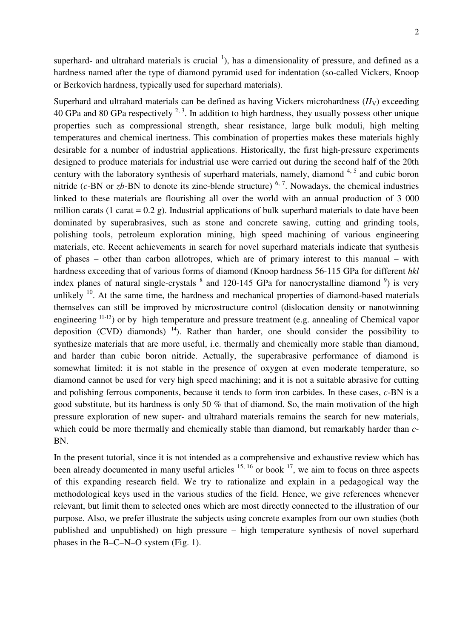superhard- and ultrahard materials is crucial  $\frac{1}{1}$ , has a dimensionality of pressure, and defined as a hardness named after the type of diamond pyramid used for indentation (so-called Vickers, Knoop or Berkovich hardness, typically used for superhard materials).

Superhard and ultrahard materials can be defined as having Vickers microhardness  $(H<sub>V</sub>)$  exceeding 40 GPa and 80 GPa respectively  $2, 3$ . In addition to high hardness, they usually possess other unique properties such as compressional strength, shear resistance, large bulk moduli, high melting temperatures and chemical inertness. This combination of properties makes these materials highly desirable for a number of industrial applications. Historically, the first high-pressure experiments designed to produce materials for industrial use were carried out during the second half of the 20th century with the laboratory synthesis of superhard materials, namely, diamond  $4.5$  and cubic boron nitride ( $c$ -BN or  $zb$ -BN to denote its zinc-blende structure)  $<sup>6, 7</sup>$ . Nowadays, the chemical industries</sup> linked to these materials are flourishing all over the world with an annual production of 3 000 million carats (1 carat =  $0.2$  g). Industrial applications of bulk superhard materials to date have been dominated by superabrasives, such as stone and concrete sawing, cutting and grinding tools, polishing tools, petroleum exploration mining, high speed machining of various engineering materials, etc. Recent achievements in search for novel superhard materials indicate that synthesis of phases – other than carbon allotropes, which are of primary interest to this manual – with hardness exceeding that of various forms of diamond (Knoop hardness 56-115 GPa for different *hkl* index planes of natural single-crystals  $\delta$  and 120-145 GPa for nanocrystalline diamond  $\delta$ ) is very unlikely  $10$ . At the same time, the hardness and mechanical properties of diamond-based materials themselves can still be improved by microstructure control (dislocation density or nanotwinning engineering <sup>11-13</sup>) or by high temperature and pressure treatment (e.g. annealing of Chemical vapor deposition (CVD) diamonds)  $^{14}$ ). Rather than harder, one should consider the possibility to synthesize materials that are more useful, i.e. thermally and chemically more stable than diamond, and harder than cubic boron nitride. Actually, the superabrasive performance of diamond is somewhat limited: it is not stable in the presence of oxygen at even moderate temperature, so diamond cannot be used for very high speed machining; and it is not a suitable abrasive for cutting and polishing ferrous components, because it tends to form iron carbides. In these cases, *c*-BN is a good substitute, but its hardness is only 50 % that of diamond. So, the main motivation of the high pressure exploration of new super- and ultrahard materials remains the search for new materials, which could be more thermally and chemically stable than diamond, but remarkably harder than *c*-BN.

In the present tutorial, since it is not intended as a comprehensive and exhaustive review which has been already documented in many useful articles  $15, 16$  or book  $17$ , we aim to focus on three aspects of this expanding research field. We try to rationalize and explain in a pedagogical way the methodological keys used in the various studies of the field. Hence, we give references whenever relevant, but limit them to selected ones which are most directly connected to the illustration of our purpose. Also, we prefer illustrate the subjects using concrete examples from our own studies (both published and unpublished) on high pressure – high temperature synthesis of novel superhard phases in the B–C–N–O system (Fig. 1).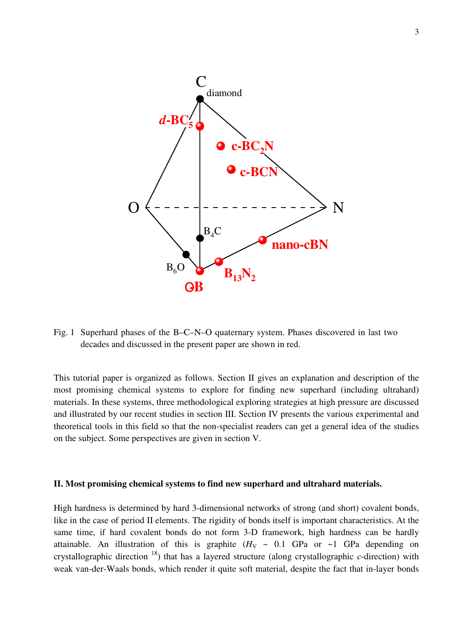

Fig. 1 Superhard phases of the B–C–N–O quaternary system. Phases discovered in last two decades and discussed in the present paper are shown in red.

This tutorial paper is organized as follows. Section II gives an explanation and description of the most promising chemical systems to explore for finding new superhard (including ultrahard) materials. In these systems, three methodological exploring strategies at high pressure are discussed and illustrated by our recent studies in section III. Section IV presents the various experimental and theoretical tools in this field so that the non-specialist readers can get a general idea of the studies on the subject. Some perspectives are given in section V.

#### **II. Most promising chemical systems to find new superhard and ultrahard materials.**

High hardness is determined by hard 3-dimensional networks of strong (and short) covalent bonds, like in the case of period II elements. The rigidity of bonds itself is important characteristics. At the same time, if hard covalent bonds do not form 3-D framework, high hardness can be hardly attainable. An illustration of this is graphite  $(H_V \sim 0.1 \text{ GPa} \text{ or } \sim 1 \text{ GPa}$  depending on crystallographic direction <sup>18</sup>) that has a layered structure (along crystallographic *c*-direction) with weak van-der-Waals bonds, which render it quite soft material, despite the fact that in-layer bonds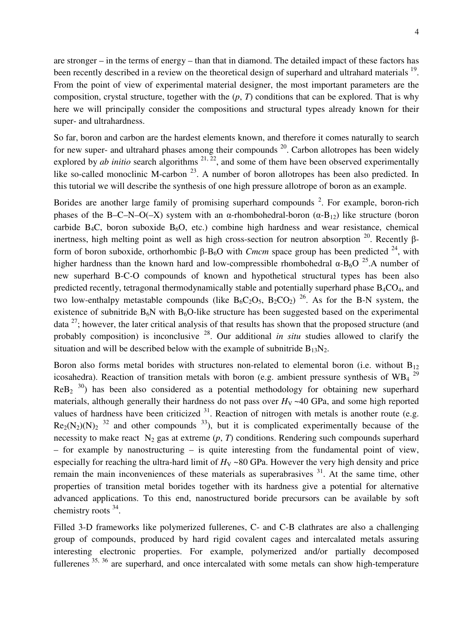are stronger – in the terms of energy – than that in diamond. The detailed impact of these factors has been recently described in a review on the theoretical design of superhard and ultrahard materials <sup>19</sup>. From the point of view of experimental material designer, the most important parameters are the composition, crystal structure, together with the (*p*, *T*) conditions that can be explored. That is why here we will principally consider the compositions and structural types already known for their super- and ultrahardness.

So far, boron and carbon are the hardest elements known, and therefore it comes naturally to search for new super- and ultrahard phases among their compounds  $20$ . Carbon allotropes has been widely explored by *ab initio* search algorithms  $2^{1, 22}$ , and some of them have been observed experimentally like so-called monoclinic M-carbon  $23$ . A number of boron allotropes has been also predicted. In this tutorial we will describe the synthesis of one high pressure allotrope of boron as an example.

Borides are another large family of promising superhard compounds  $2$ . For example, boron-rich phases of the B–C–N–O(–X) system with an α-rhombohedral-boron  $(α-B<sub>12</sub>)$  like structure (boron carbide B<sub>4</sub>C, boron suboxide B<sub>6</sub>O, etc.) combine high hardness and wear resistance, chemical inertness, high melting point as well as high cross-section for neutron absorption <sup>20</sup>. Recently βform of boron suboxide, orthorhombic β-B<sub>6</sub>O with *Cmcm* space group has been predicted <sup>24</sup>, with higher hardness than the known hard and low-compressible rhombohedral  $\alpha$ -B<sub>6</sub>O <sup>25</sup>.A number of new superhard B-C-O compounds of known and hypothetical structural types has been also predicted recently, tetragonal thermodynamically stable and potentially superhard phase  $B_4CO_4$ , and two low-enthalpy metastable compounds (like  $B_6C_2O_5$ ,  $B_2CO_2$ )<sup>26</sup>. As for the B-N system, the existence of subnitride  $B_6N$  with  $B_6O$ -like structure has been suggested based on the experimental data  $^{27}$ ; however, the later critical analysis of that results has shown that the proposed structure (and probably composition) is inconclusive <sup>28</sup>. Our additional *in situ* studies allowed to clarify the situation and will be described below with the example of subnitride  $B_{13}N_2$ .

Boron also forms metal borides with structures non-related to elemental boron (i.e. without  $B_{12}$ ) icosahedra). Reaction of transition metals with boron (e.g. ambient pressure synthesis of WB<sub>4</sub><sup>29</sup>  $\text{ReB}_2$ <sup>30</sup>) has been also considered as a potential methodology for obtaining new superhard materials, although generally their hardness do not pass over  $H_V \sim 40$  GPa, and some high reported values of hardness have been criticized  $31$ . Reaction of nitrogen with metals is another route (e.g.  $Re_2(N_2)(N)_2$  <sup>32</sup> and other compounds <sup>33</sup>), but it is complicated experimentally because of the necessity to make react  $N_2$  gas at extreme  $(p, T)$  conditions. Rendering such compounds superhard – for example by nanostructuring – is quite interesting from the fundamental point of view, especially for reaching the ultra-hard limit of  $H_V \sim 80$  GPa. However the very high density and price remain the main inconveniences of these materials as superabrasives <sup>31</sup>. At the same time, other properties of transition metal borides together with its hardness give a potential for alternative advanced applications. To this end, nanostructured boride precursors can be available by soft chemistry roots <sup>34</sup>.

Filled 3-D frameworks like polymerized fullerenes, C- and C-B clathrates are also a challenging group of compounds, produced by hard rigid covalent cages and intercalated metals assuring interesting electronic properties. For example, polymerized and/or partially decomposed fullerenes  $35, 36$  are superhard, and once intercalated with some metals can show high-temperature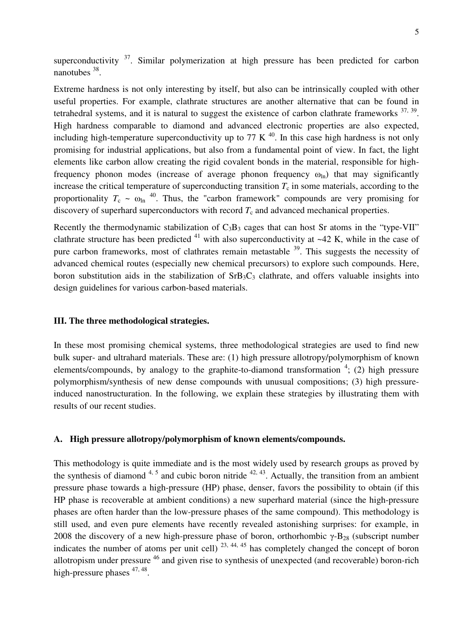superconductivity  $37$ . Similar polymerization at high pressure has been predicted for carbon nanotubes <sup>38</sup>.

Extreme hardness is not only interesting by itself, but also can be intrinsically coupled with other useful properties. For example, clathrate structures are another alternative that can be found in tetrahedral systems, and it is natural to suggest the existence of carbon clathrate frameworks  $37, 39$ . High hardness comparable to diamond and advanced electronic properties are also expected, including high-temperature superconductivity up to 77 K  $^{40}$ . In this case high hardness is not only promising for industrial applications, but also from a fundamental point of view. In fact, the light elements like carbon allow creating the rigid covalent bonds in the material, responsible for highfrequency phonon modes (increase of average phonon frequency  $\omega_{\text{ln}}$ ) that may significantly increase the critical temperature of superconducting transition  $T_c$  in some materials, according to the proportionality  $T_c \sim \omega_{\text{ln}}^{40}$ . Thus, the "carbon framework" compounds are very promising for discovery of superhard superconductors with record  $T_c$  and advanced mechanical properties.

Recently the thermodynamic stabilization of  $C_3B_3$  cages that can host Sr atoms in the "type-VII" clathrate structure has been predicted  $41$  with also superconductivity at  $-42$  K, while in the case of pure carbon frameworks, most of clathrates remain metastable  $39$ . This suggests the necessity of advanced chemical routes (especially new chemical precursors) to explore such compounds. Here, boron substitution aids in the stabilization of  $SrB_3C_3$  clathrate, and offers valuable insights into design guidelines for various carbon-based materials.

## **III. The three methodological strategies.**

In these most promising chemical systems, three methodological strategies are used to find new bulk super- and ultrahard materials. These are: (1) high pressure allotropy/polymorphism of known elements/compounds, by analogy to the graphite-to-diamond transformation  $4$ ; (2) high pressure polymorphism/synthesis of new dense compounds with unusual compositions; (3) high pressureinduced nanostructuration. In the following, we explain these strategies by illustrating them with results of our recent studies.

## **A. High pressure allotropy/polymorphism of known elements/compounds.**

This methodology is quite immediate and is the most widely used by research groups as proved by the synthesis of diamond  $4.5$  and cubic boron nitride  $42.43$ . Actually, the transition from an ambient pressure phase towards a high-pressure (HP) phase, denser, favors the possibility to obtain (if this HP phase is recoverable at ambient conditions) a new superhard material (since the high-pressure phases are often harder than the low-pressure phases of the same compound). This methodology is still used, and even pure elements have recently revealed astonishing surprises: for example, in 2008 the discovery of a new high-pressure phase of boron, orthorhombic  $\gamma$ -B<sub>28</sub> (subscript number indicates the number of atoms per unit cell)  $^{23, 44, 45}$  has completely changed the concept of boron allotropism under pressure <sup>46</sup> and given rise to synthesis of unexpected (and recoverable) boron-rich high-pressure phases  $47,48$ .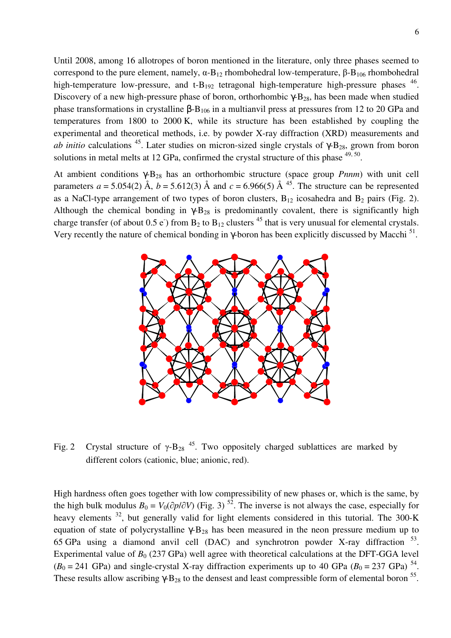Until 2008, among 16 allotropes of boron mentioned in the literature, only three phases seemed to correspond to the pure element, namely,  $\alpha$ -B<sub>12</sub> rhombohedral low-temperature, β-B<sub>106</sub> rhombohedral high-temperature low-pressure, and t- $B_{192}$  tetragonal high-temperature high-pressure phases  $^{46}$ . Discovery of a new high-pressure phase of boron, orthorhombic  $\gamma$ -B<sub>28</sub>, has been made when studied phase transformations in crystalline  $β$ - $B_{106}$  in a multianvil press at pressures from 12 to 20 GPa and temperatures from 1800 to 2000 K, while its structure has been established by coupling the experimental and theoretical methods, i.e. by powder X-ray diffraction (XRD) measurements and *ab initio* calculations <sup>45</sup>. Later studies on micron-sized single crystals of  $\gamma$ -B<sub>28</sub>, grown from boron solutions in metal melts at 12 GPa, confirmed the crystal structure of this phase  $49,50$ .

At ambient conditions γ-B28 has an orthorhombic structure (space group *Pnnm*) with unit cell parameters  $a = 5.054(2)$  Å,  $b = 5.612(3)$  Å and  $c = 6.966(5)$  Å <sup>45</sup>. The structure can be represented as a NaCl-type arrangement of two types of boron clusters,  $B_{12}$  icosahedra and  $B_2$  pairs (Fig. 2). Although the chemical bonding in  $\gamma$ -B<sub>28</sub> is predominantly covalent, there is significantly high charge transfer (of about 0.5 e) from  $B_2$  to  $B_{12}$  clusters <sup>45</sup> that is very unusual for elemental crystals. Very recently the nature of chemical bonding in  $\gamma$ -boron has been explicitly discussed by Macchi<sup>51</sup>.



Fig. 2 Crystal structure of  $\gamma$ -B<sub>28</sub><sup>45</sup>. Two oppositely charged sublattices are marked by different colors (cationic, blue; anionic, red).

High hardness often goes together with low compressibility of new phases or, which is the same, by the high bulk modulus  $B_0 = V_0(\partial p/\partial V)$  (Fig. 3)<sup>52</sup>. The inverse is not always the case, especially for heavy elements <sup>32</sup>, but generally valid for light elements considered in this tutorial. The 300-K equation of state of polycrystalline γ- $B_{28}$  has been measured in the neon pressure medium up to 65 GPa using a diamond anvil cell (DAC) and synchrotron powder X-ray diffraction  $53$ . Experimental value of  $B_0$  (237 GPa) well agree with theoretical calculations at the DFT-GGA level  $(B_0 = 241 \text{ GPa})$  and single-crystal X-ray diffraction experiments up to 40 GPa  $(B_0 = 237 \text{ GPa})^{54}$ . These results allow ascribing  $\gamma$ -B<sub>28</sub> to the densest and least compressible form of elemental boron <sup>55</sup>.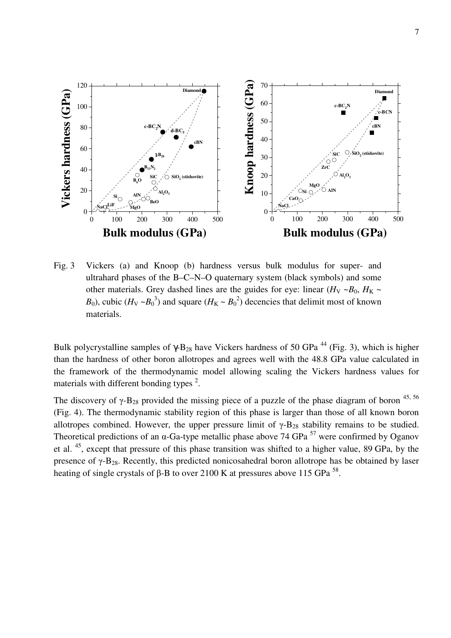

Fig. 3 Vickers (a) and Knoop (b) hardness versus bulk modulus for super- and ultrahard phases of the B–C–N–O quaternary system (black symbols) and some other materials. Grey dashed lines are the guides for eye: linear  $(H_V \sim B_0, H_K \sim$ *B*<sub>0</sub>), cubic (*H*<sub>V</sub> ~*B*<sub>0</sub><sup>3</sup>) and square (*H*<sub>K</sub> ~ *B*<sub>0</sub><sup>2</sup>) decencies that delimit most of known materials.

Bulk polycrystalline samples of  $\gamma$ -B<sub>28</sub> have Vickers hardness of 50 GPa<sup>44</sup> (Fig. 3), which is higher than the hardness of other boron allotropes and agrees well with the 48.8 GPa value calculated in the framework of the thermodynamic model allowing scaling the Vickers hardness values for materials with different bonding types<sup>2</sup>.

The discovery of  $\gamma$ -B<sub>28</sub> provided the missing piece of a puzzle of the phase diagram of boron <sup>45, 56</sup> (Fig. 4). The thermodynamic stability region of this phase is larger than those of all known boron allotropes combined. However, the upper pressure limit of  $\gamma$ -B<sub>28</sub> stability remains to be studied. Theoretical predictions of an  $\alpha$ -Ga-type metallic phase above 74 GPa  $^{57}$  were confirmed by Oganov et al. <sup>45</sup>, except that pressure of this phase transition was shifted to a higher value, 89 GPa, by the presence of  $\gamma$ -B<sub>28</sub>. Recently, this predicted nonicosahedral boron allotrope has be obtained by laser heating of single crystals of β-B to over 2100 K at pressures above 115 GPa<sup>58</sup>.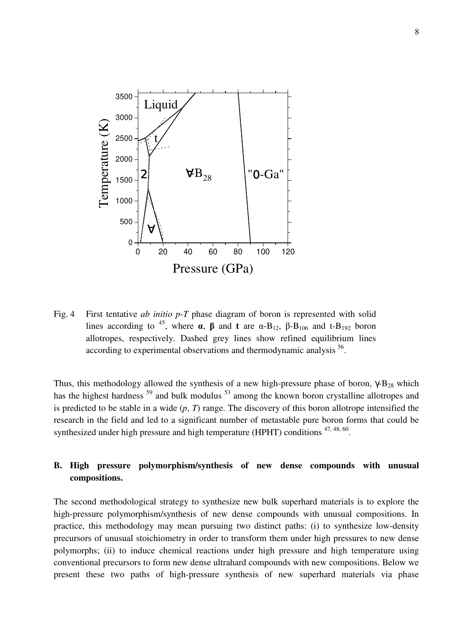

Fig. 4 First tentative *ab initio p*-*T* phase diagram of boron is represented with solid lines according to <sup>45</sup>, where  $\alpha$ ,  $\beta$  and  $\tau$  are  $\alpha$ -B<sub>12</sub>,  $\beta$ -B<sub>106</sub> and  $\tau$ -B<sub>192</sub> boron allotropes, respectively. Dashed grey lines show refined equilibrium lines according to experimental observations and thermodynamic analysis <sup>56</sup>.

Thus, this methodology allowed the synthesis of a new high-pressure phase of boron,  $\gamma$ -B<sub>28</sub> which has the highest hardness<sup>59</sup> and bulk modulus<sup>53</sup> among the known boron crystalline allotropes and is predicted to be stable in a wide (*p*, *T*) range. The discovery of this boron allotrope intensified the research in the field and led to a significant number of metastable pure boron forms that could be synthesized under high pressure and high temperature (HPHT) conditions  $47,48,60$ .

# **B. High pressure polymorphism/synthesis of new dense compounds with unusual compositions.**

The second methodological strategy to synthesize new bulk superhard materials is to explore the high-pressure polymorphism/synthesis of new dense compounds with unusual compositions. In practice, this methodology may mean pursuing two distinct paths: (i) to synthesize low-density precursors of unusual stoichiometry in order to transform them under high pressures to new dense polymorphs; (ii) to induce chemical reactions under high pressure and high temperature using conventional precursors to form new dense ultrahard compounds with new compositions. Below we present these two paths of high-pressure synthesis of new superhard materials via phase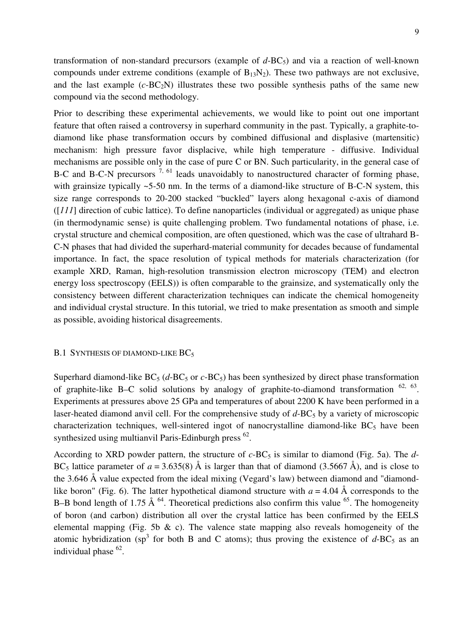transformation of non-standard precursors (example of  $d$ -BC<sub>5</sub>) and via a reaction of well-known compounds under extreme conditions (example of  $B_{13}N_2$ ). These two pathways are not exclusive, and the last example  $(c-BC_2N)$  illustrates these two possible synthesis paths of the same new compound via the second methodology.

Prior to describing these experimental achievements, we would like to point out one important feature that often raised a controversy in superhard community in the past. Typically, a graphite-todiamond like phase transformation occurs by combined diffusional and displasive (martensitic) mechanism: high pressure favor displacive, while high temperature - diffusive. Individual mechanisms are possible only in the case of pure C or BN. Such particularity, in the general case of B-C and B-C-N precursors  $\frac{7}{10}$ ,  $\frac{61}{100}$  leads unavoidably to nanostructured character of forming phase, with grainsize typically ~5-50 nm. In the terms of a diamond-like structure of B-C-N system, this size range corresponds to 20-200 stacked "buckled" layers along hexagonal c-axis of diamond ([*111*] direction of cubic lattice). To define nanoparticles (individual or aggregated) as unique phase (in thermodynamic sense) is quite challenging problem. Two fundamental notations of phase, i.e. crystal structure and chemical composition, are often questioned, which was the case of ultrahard B-C-N phases that had divided the superhard-material community for decades because of fundamental importance. In fact, the space resolution of typical methods for materials characterization (for example XRD, Raman, high-resolution transmission electron microscopy (TEM) and electron energy loss spectroscopy (EELS)) is often comparable to the grainsize, and systematically only the consistency between different characterization techniques can indicate the chemical homogeneity and individual crystal structure. In this tutorial, we tried to make presentation as smooth and simple as possible, avoiding historical disagreements.

#### B.1 SYNTHESIS OF DIAMOND-LIKE BC<sub>5</sub>

Superhard diamond-like  $BC_5$  ( $d$ -BC<sub>5</sub> or  $c$ -BC<sub>5</sub>) has been synthesized by direct phase transformation of graphite-like B–C solid solutions by analogy of graphite-to-diamond transformation  $62, 63$ . Experiments at pressures above 25 GPa and temperatures of about 2200 K have been performed in a laser-heated diamond anvil cell. For the comprehensive study of  $d$ -BC<sub>5</sub> by a variety of microscopic characterization techniques, well-sintered ingot of nanocrystalline diamond-like  $BC_5$  have been synthesized using multianvil Paris-Edinburgh press  $^{62}$ .

According to XRD powder pattern, the structure of  $c$ -BC<sub>5</sub> is similar to diamond (Fig. 5a). The  $d$ -BC<sub>5</sub> lattice parameter of  $a = 3.635(8)$  Å is larger than that of diamond (3.5667 Å), and is close to the 3.646 Å value expected from the ideal mixing (Vegard's law) between diamond and "diamondlike boron" (Fig. 6). The latter hypothetical diamond structure with  $a = 4.04 \text{ Å}$  corresponds to the B–B bond length of 1.75  $\AA$  <sup>64</sup>. Theoretical predictions also confirm this value <sup>65</sup>. The homogeneity of boron (and carbon) distribution all over the crystal lattice has been confirmed by the EELS elemental mapping (Fig. 5b  $\&$  c). The valence state mapping also reveals homogeneity of the atomic hybridization (sp<sup>3</sup> for both B and C atoms); thus proving the existence of  $d$ -BC<sub>5</sub> as an individual phase <sup>62</sup>.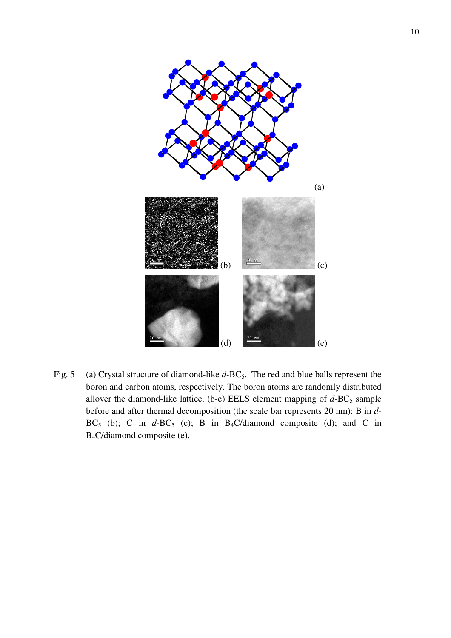

Fig. 5 (a) Crystal structure of diamond-like *d*-BC<sub>5</sub>. The red and blue balls represent the boron and carbon atoms, respectively. The boron atoms are randomly distributed allover the diamond-like lattice. (b-e) EELS element mapping of  $d$ -BC<sub>5</sub> sample before and after thermal decomposition (the scale bar represents 20 nm): B in *d*-BC<sub>5</sub> (b); C in  $d$ -BC<sub>5</sub> (c); B in B<sub>4</sub>C/diamond composite (d); and C in B4C/diamond composite (e).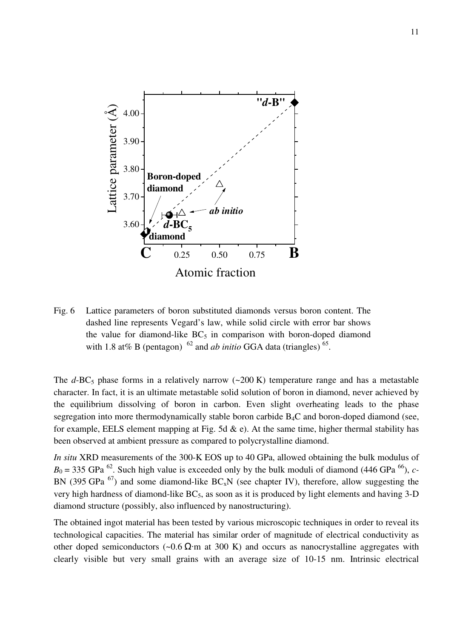

Fig. 6 Lattice parameters of boron substituted diamonds versus boron content. The dashed line represents Vegard's law, while solid circle with error bar shows the value for diamond-like  $BC_5$  in comparison with boron-doped diamond with 1.8 at% B (pentagon)  $^{62}$  and *ab initio* GGA data (triangles)  $^{65}$ .

The  $d$ -BC<sub>5</sub> phase forms in a relatively narrow ( $\sim$ 200 K) temperature range and has a metastable character. In fact, it is an ultimate metastable solid solution of boron in diamond, never achieved by the equilibrium dissolving of boron in carbon. Even slight overheating leads to the phase segregation into more thermodynamically stable boron carbide B<sub>4</sub>C and boron-doped diamond (see, for example, EELS element mapping at Fig. 5d  $\&$  e). At the same time, higher thermal stability has been observed at ambient pressure as compared to polycrystalline diamond.

*In situ* XRD measurements of the 300-K EOS up to 40 GPa, allowed obtaining the bulk modulus of  $B_0 = 335$  GPa<sup>62</sup>. Such high value is exceeded only by the bulk moduli of diamond (446 GPa<sup>66</sup>), *c*-BN (395 GPa  $^{67}$ ) and some diamond-like BC<sub>x</sub>N (see chapter IV), therefore, allow suggesting the very high hardness of diamond-like  $BC_5$ , as soon as it is produced by light elements and having 3-D diamond structure (possibly, also influenced by nanostructuring).

The obtained ingot material has been tested by various microscopic techniques in order to reveal its technological capacities. The material has similar order of magnitude of electrical conductivity as other doped semiconductors (~0.6  $\Omega$ ·m at 300 K) and occurs as nanocrystalline aggregates with clearly visible but very small grains with an average size of 10-15 nm. Intrinsic electrical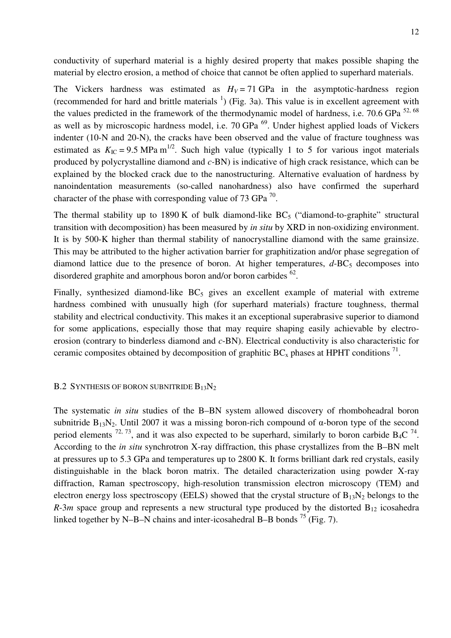conductivity of superhard material is a highly desired property that makes possible shaping the material by electro erosion, a method of choice that cannot be often applied to superhard materials.

The Vickers hardness was estimated as  $H_V = 71$  GPa in the asymptotic-hardness region (recommended for hard and brittle materials  $<sup>1</sup>$ ) (Fig. 3a). This value is in excellent agreement with</sup> the values predicted in the framework of the thermodynamic model of hardness, i.e.  $70.6$  GPa  $^{52,68}$ as well as by microscopic hardness model, i.e.  $70$  GPa  $^{69}$ . Under highest applied loads of Vickers indenter (10-N and 20-N), the cracks have been observed and the value of fracture toughness was estimated as  $K_{\text{IC}} = 9.5 \text{ MPa m}^{1/2}$ . Such high value (typically 1 to 5 for various ingot materials produced by polycrystalline diamond and *c-*BN) is indicative of high crack resistance, which can be explained by the blocked crack due to the nanostructuring. Alternative evaluation of hardness by nanoindentation measurements (so-called nanohardness) also have confirmed the superhard character of the phase with corresponding value of 73 GPa  $^{70}$ .

The thermal stability up to 1890 K of bulk diamond-like  $BC_5$  ("diamond-to-graphite" structural transition with decomposition) has been measured by *in situ* by XRD in non-oxidizing environment. It is by 500-K higher than thermal stability of nanocrystalline diamond with the same grainsize. This may be attributed to the higher activation barrier for graphitization and/or phase segregation of diamond lattice due to the presence of boron. At higher temperatures,  $d$ -BC<sub>5</sub> decomposes into disordered graphite and amorphous boron and/or boron carbides  $^{62}$ .

Finally, synthesized diamond-like  $BC_5$  gives an excellent example of material with extreme hardness combined with unusually high (for superhard materials) fracture toughness, thermal stability and electrical conductivity. This makes it an exceptional superabrasive superior to diamond for some applications, especially those that may require shaping easily achievable by electroerosion (contrary to binderless diamond and *c*-BN). Electrical conductivity is also characteristic for ceramic composites obtained by decomposition of graphitic  $BC_x$  phases at HPHT conditions  $^{71}$ .

## B.2 SYNTHESIS OF BORON SUBNITRIDE  $B_{13}N_2$

The systematic *in situ* studies of the B–BN system allowed discovery of rhomboheadral boron subnitride  $B_{13}N_2$ . Until 2007 it was a missing boron-rich compound of  $\alpha$ -boron type of the second period elements <sup>72, 73</sup>, and it was also expected to be superhard, similarly to boron carbide  $B_4C^{74}$ . According to the *in situ* synchrotron X-ray diffraction, this phase crystallizes from the B–BN melt at pressures up to 5.3 GPa and temperatures up to 2800 K. It forms brilliant dark red crystals, easily distinguishable in the black boron matrix. The detailed characterization using powder X-ray diffraction, Raman spectroscopy, high-resolution transmission electron microscopy (TEM) and electron energy loss spectroscopy (EELS) showed that the crystal structure of  $B_{13}N_2$  belongs to the  $R-3m$  space group and represents a new structural type produced by the distorted  $B_{12}$  icosahedra linked together by N–B–N chains and inter-icosahedral B–B bonds  $^{75}$  (Fig. 7).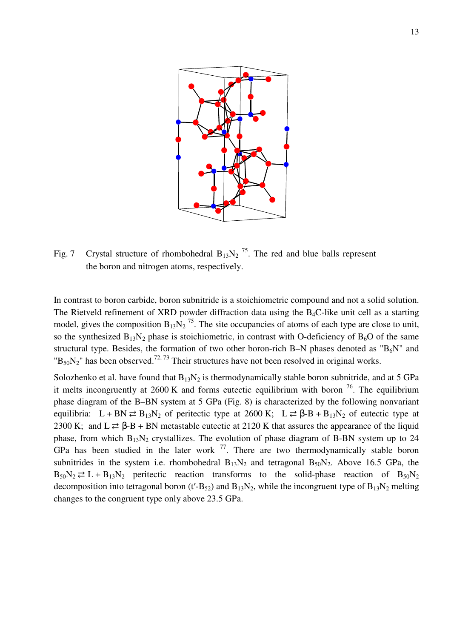

Fig. 7 Crystal structure of rhombohedral  $B_{13}N_2$ <sup>75</sup>. The red and blue balls represent the boron and nitrogen atoms, respectively.

In contrast to boron carbide, boron subnitride is a stoichiometric compound and not a solid solution. The Rietveld refinement of XRD powder diffraction data using the  $B_4C$ -like unit cell as a starting model, gives the composition  $B_{13}N_2$ <sup>75</sup>. The site occupancies of atoms of each type are close to unit, so the synthesized  $B_{13}N_2$  phase is stoichiometric, in contrast with O-deficiency of  $B_6O$  of the same structural type. Besides, the formation of two other boron-rich B–N phases denoted as " $B_6N$ " and  $B_{50}N_2$ " has been observed.<sup>72, 73</sup> Their structures have not been resolved in original works.

Solozhenko et al. have found that  $B_{13}N_2$  is thermodynamically stable boron subnitride, and at 5 GPa it melts incongruently at  $2600 \text{ K}$  and forms eutectic equilibrium with boron  $^{76}$ . The equilibrium phase diagram of the B–BN system at 5 GPa (Fig. 8) is characterized by the following nonvariant equilibria:  $L + BN \rightleftarrows B_{13}N_2$  of peritectic type at 2600 K;  $L \rightleftarrows \beta - B + B_{13}N_2$  of eutectic type at 2300 K; and L  $\rightleftarrows$   $\beta$ -B + BN metastable eutectic at 2120 K that assures the appearance of the liquid phase, from which  $B_{13}N_2$  crystallizes. The evolution of phase diagram of B-BN system up to 24 GPa has been studied in the later work  $<sup>77</sup>$ . There are two thermodynamically stable boron</sup> subnitrides in the system i.e. rhombohedral  $B_{13}N_2$  and tetragonal  $B_{50}N_2$ . Above 16.5 GPa, the  $B_{50}N_2 \rightleftarrows L + B_{13}N_2$  peritectic reaction transforms to the solid-phase reaction of  $B_{50}N_2$ decomposition into tetragonal boron (t'-B<sub>52</sub>) and B<sub>13</sub>N<sub>2</sub>, while the incongruent type of B<sub>13</sub>N<sub>2</sub> melting changes to the congruent type only above 23.5 GPa.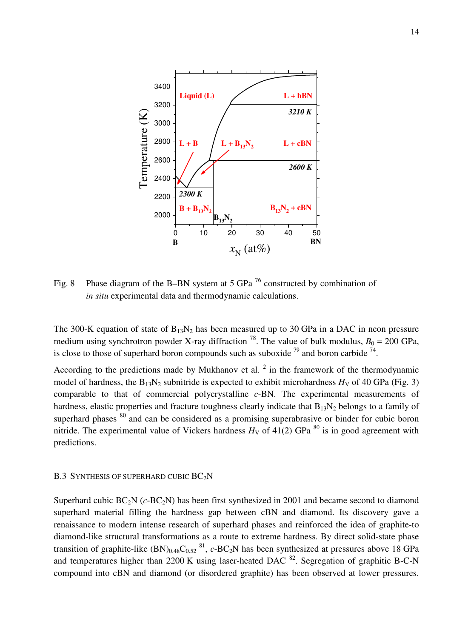

Fig. 8 Phase diagram of the B–BN system at 5 GPa  $^{76}$  constructed by combination of *in situ* experimental data and thermodynamic calculations.

The 300-K equation of state of  $B_{13}N_2$  has been measured up to 30 GPa in a DAC in neon pressure medium using synchrotron powder X-ray diffraction <sup>78</sup>. The value of bulk modulus,  $B_0 = 200$  GPa, is close to those of superhard boron compounds such as suboxide  $^{79}$  and boron carbide  $^{74}$ .

According to the predictions made by Mukhanov et al.  $2$  in the framework of the thermodynamic model of hardness, the  $B_{13}N_2$  subnitride is expected to exhibit microhardness  $H_V$  of 40 GPa (Fig. 3) comparable to that of commercial polycrystalline *c*-BN. The experimental measurements of hardness, elastic properties and fracture toughness clearly indicate that  $B_{13}N_2$  belongs to a family of superhard phases  $80$  and can be considered as a promising superabrasive or binder for cubic boron nitride. The experimental value of Vickers hardness  $H_V$  of 41(2) GPa <sup>80</sup> is in good agreement with predictions.

## B.3 SYNTHESIS OF SUPERHARD CUBIC BC<sub>2</sub>N

Superhard cubic BC<sub>2</sub>N (*c*-BC<sub>2</sub>N) has been first synthesized in 2001 and became second to diamond superhard material filling the hardness gap between cBN and diamond. Its discovery gave a renaissance to modern intense research of superhard phases and reinforced the idea of graphite-to diamond-like structural transformations as a route to extreme hardness. By direct solid-state phase transition of graphite-like  $(BN)_{0.48}C_{0.52}$   $^{81}$ ,  $c$ -BC<sub>2</sub>N has been synthesized at pressures above 18 GPa and temperatures higher than 2200 K using laser-heated DAC  $^{82}$ . Segregation of graphitic B-C-N compound into cBN and diamond (or disordered graphite) has been observed at lower pressures.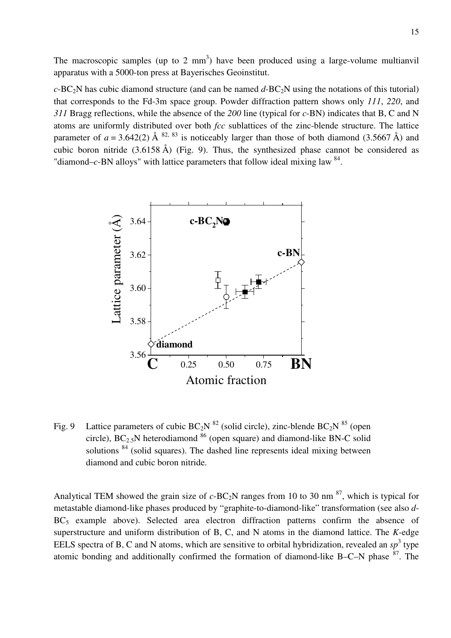The macroscopic samples (up to 2  $mm<sup>3</sup>$ ) have been produced using a large-volume multianvil apparatus with a 5000-ton press at Bayerisches Geoinstitut.

 $c$ -BC<sub>2</sub>N has cubic diamond structure (and can be named  $d$ -BC<sub>2</sub>N using the notations of this tutorial) that corresponds to the Fd-3m space group. Powder diffraction pattern shows only *111*, *220*, and *311* Bragg reflections, while the absence of the *200* line (typical for *c*-BN) indicates that B, C and N atoms are uniformly distributed over both *fcc* sublattices of the zinc-blende structure. The lattice parameter of  $a = 3.642(2)$  Å <sup>82, 83</sup> is noticeably larger than those of both diamond (3.5667 Å) and cubic boron nitride (3.6158 Å) (Fig. 9). Thus, the synthesized phase cannot be considered as "diamond– $c$ -BN alloys" with lattice parameters that follow ideal mixing law  $84$ .



Fig. 9 Lattice parameters of cubic  $BC_2N$  <sup>82</sup> (solid circle), zinc-blende  $BC_2N$  <sup>85</sup> (open circle),  $BC_2$ <sub>5</sub>N heterodiamond <sup>86</sup> (open square) and diamond-like BN-C solid solutions <sup>84</sup> (solid squares). The dashed line represents ideal mixing between diamond and cubic boron nitride.

Analytical TEM showed the grain size of  $c$ -BC<sub>2</sub>N ranges from 10 to 30 nm <sup>87</sup>, which is typical for metastable diamond-like phases produced by "graphite-to-diamond-like" transformation (see also *d*- $BC_5$  example above). Selected area electron diffraction patterns confirm the absence of superstructure and uniform distribution of B, C, and N atoms in the diamond lattice. The *K*-edge EELS spectra of B, C and N atoms, which are sensitive to orbital hybridization, revealed an  $sp^3$  type atomic bonding and additionally confirmed the formation of diamond-like B–C–N phase  $87$ . The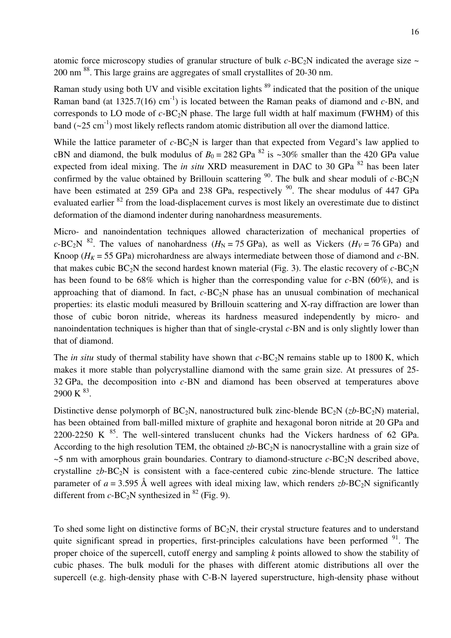atomic force microscopy studies of granular structure of bulk  $c$ -BC<sub>2</sub>N indicated the average size  $\sim$ 200 nm <sup>88</sup>. This large grains are aggregates of small crystallites of 20-30 nm.

Raman study using both UV and visible excitation lights <sup>89</sup> indicated that the position of the unique Raman band (at  $1325.7(16)$  cm<sup>-1</sup>) is located between the Raman peaks of diamond and *c*-BN, and corresponds to LO mode of  $c$ -BC<sub>2</sub>N phase. The large full width at half maximum (FWHM) of this band  $(\sim 25 \text{ cm}^{-1})$  most likely reflects random atomic distribution all over the diamond lattice.

While the lattice parameter of  $c$ -BC<sub>2</sub>N is larger than that expected from Vegard's law applied to cBN and diamond, the bulk modulus of  $B_0 = 282$  GPa  $^{82}$  is ~30% smaller than the 420 GPa value expected from ideal mixing. The *in situ* XRD measurement in DAC to 30 GPa <sup>82</sup> has been later confirmed by the value obtained by Brillouin scattering <sup>90</sup>. The bulk and shear moduli of  $c$ -BC<sub>2</sub>N have been estimated at 259 GPa and 238 GPa, respectively  $90$ . The shear modulus of 447 GPa evaluated earlier <sup>82</sup> from the load-displacement curves is most likely an overestimate due to distinct deformation of the diamond indenter during nanohardness measurements.

Micro- and nanoindentation techniques allowed characterization of mechanical properties of *c*-BC<sub>2</sub>N <sup>82</sup>. The values of nanohardness ( $H_N$  = 75 GPa), as well as Vickers ( $H_V$  = 76 GPa) and Knoop ( $H_K$  = 55 GPa) microhardness are always intermediate between those of diamond and *c*-BN. that makes cubic  $BC_2N$  the second hardest known material (Fig. 3). The elastic recovery of  $c$ - $BC_2N$ has been found to be 68% which is higher than the corresponding value for *c*-BN (60%), and is approaching that of diamond. In fact, *c*-BC<sub>2</sub>N phase has an unusual combination of mechanical properties: its elastic moduli measured by Brillouin scattering and X-ray diffraction are lower than those of cubic boron nitride, whereas its hardness measured independently by micro- and nanoindentation techniques is higher than that of single-crystal *c-*BN and is only slightly lower than that of diamond.

The *in situ* study of thermal stability have shown that  $c$ -BC<sub>2</sub>N remains stable up to 1800 K, which makes it more stable than polycrystalline diamond with the same grain size. At pressures of 25- 32 GPa, the decomposition into *c-*BN and diamond has been observed at temperatures above  $2900 \text{ K}^{83}$ .

Distinctive dense polymorph of  $BC_2N$ , nanostructured bulk zinc-blende  $BC_2N$  ( $zb$ - $BC_2N$ ) material, has been obtained from ball-milled mixture of graphite and hexagonal boron nitride at 20 GPa and 2200-2250 K  $^{85}$ . The well-sintered translucent chunks had the Vickers hardness of 62 GPa. According to the high resolution TEM, the obtained  $zb$ -BC<sub>2</sub>N is nanocrystalline with a grain size of  $\sim$ 5 nm with amorphous grain boundaries. Contrary to diamond-structure *c*-BC<sub>2</sub>N described above, crystalline  $zb$ -BC<sub>2</sub>N is consistent with a face-centered cubic zinc-blende structure. The lattice parameter of  $a = 3.595$  Å well agrees with ideal mixing law, which renders  $zb$ -BC<sub>2</sub>N significantly different from  $c$ -BC<sub>2</sub>N synthesized in <sup>82</sup> (Fig. 9).

To shed some light on distinctive forms of  $BC_2N$ , their crystal structure features and to understand quite significant spread in properties, first-principles calculations have been performed  $91$ . The proper choice of the supercell, cutoff energy and sampling *k* points allowed to show the stability of cubic phases. The bulk moduli for the phases with different atomic distributions all over the supercell (e.g. high-density phase with C-B-N layered superstructure, high-density phase without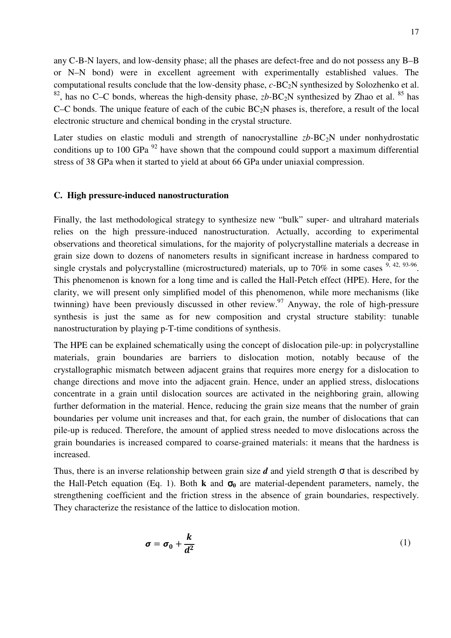any C-B-N layers, and low-density phase; all the phases are defect-free and do not possess any B–B or N–N bond) were in excellent agreement with experimentally established values. The computational results conclude that the low-density phase, *c*-BC<sub>2</sub>N synthesized by Solozhenko et al. <sup>82</sup>, has no C–C bonds, whereas the high-density phase,  $zb$ -BC<sub>2</sub>N synthesized by Zhao et al. <sup>85</sup> has C–C bonds. The unique feature of each of the cubic  $BC_2N$  phases is, therefore, a result of the local electronic structure and chemical bonding in the crystal structure.

Later studies on elastic moduli and strength of nanocrystalline  $zb$ -BC<sub>2</sub>N under nonhydrostatic conditions up to 100 GPa  $^{92}$  have shown that the compound could support a maximum differential stress of 38 GPa when it started to yield at about 66 GPa under uniaxial compression.

## **C. High pressure-induced nanostructuration**

Finally, the last methodological strategy to synthesize new "bulk" super- and ultrahard materials relies on the high pressure-induced nanostructuration. Actually, according to experimental observations and theoretical simulations, for the majority of polycrystalline materials a decrease in grain size down to dozens of nanometers results in significant increase in hardness compared to single crystals and polycrystalline (microstructured) materials, up to 70% in some cases  $9, 42, 93.96$ . This phenomenon is known for a long time and is called the Hall-Petch effect (HPE). Here, for the clarity, we will present only simplified model of this phenomenon, while more mechanisms (like twinning) have been previously discussed in other review.<sup>97</sup> Anyway, the role of high-pressure synthesis is just the same as for new composition and crystal structure stability: tunable nanostructuration by playing p-T-time conditions of synthesis.

The HPE can be explained schematically using the concept of dislocation pile-up: in polycrystalline materials, grain boundaries are barriers to dislocation motion, notably because of the crystallographic mismatch between adjacent grains that requires more energy for a dislocation to change directions and move into the adjacent grain. Hence, under an applied stress, dislocations concentrate in a grain until dislocation sources are activated in the neighboring grain, allowing further deformation in the material. Hence, reducing the grain size means that the number of grain boundaries per volume unit increases and that, for each grain, the number of dislocations that can pile-up is reduced. Therefore, the amount of applied stress needed to move dislocations across the grain boundaries is increased compared to coarse-grained materials: it means that the hardness is increased.

Thus, there is an inverse relationship between grain size  $d$  and yield strength  $\sigma$  that is described by the Hall-Petch equation (Eq. 1). Both **k** and  $\sigma_0$  are material-dependent parameters, namely, the strengthening coefficient and the friction stress in the absence of grain boundaries, respectively. They characterize the resistance of the lattice to dislocation motion.

$$
\sigma = \sigma_0 + \frac{k}{d^2} \tag{1}
$$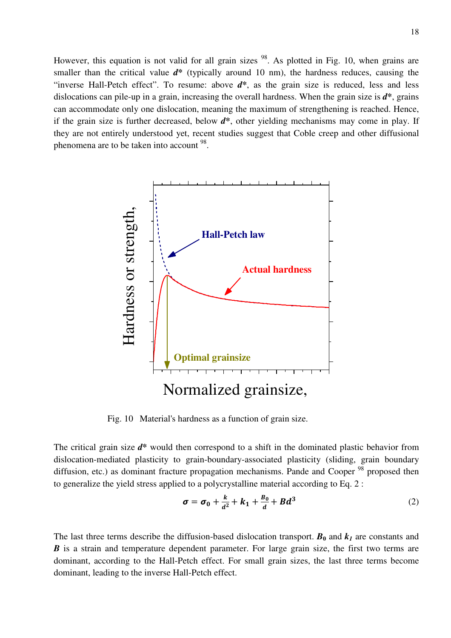However, this equation is not valid for all grain sizes  $98$ . As plotted in Fig. 10, when grains are smaller than the critical value  $d^*$  (typically around 10 nm), the hardness reduces, causing the "inverse Hall-Petch effect". To resume: above *d***\***, as the grain size is reduced, less and less dislocations can pile-up in a grain, increasing the overall hardness. When the grain size is *d***\***, grains can accommodate only one dislocation, meaning the maximum of strengthening is reached. Hence, if the grain size is further decreased, below *d***\***, other yielding mechanisms may come in play. If they are not entirely understood yet, recent studies suggest that Coble creep and other diffusional phenomena are to be taken into account <sup>98</sup>.



Fig. 10 Material's hardness as a function of grain size.

The critical grain size *d***\*** would then correspond to a shift in the dominated plastic behavior from dislocation-mediated plasticity to grain-boundary-associated plasticity (sliding, grain boundary diffusion, etc.) as dominant fracture propagation mechanisms. Pande and Cooper<sup>98</sup> proposed then to generalize the yield stress applied to a polycrystalline material according to Eq. 2 :

$$
\sigma = \sigma_0 + \frac{k}{d^2} + k_1 + \frac{B_0}{d} + Bd^3 \tag{2}
$$

The last three terms describe the diffusion-based dislocation transport.  $B_0$  and  $k_I$  are constants and *B* is a strain and temperature dependent parameter. For large grain size, the first two terms are dominant, according to the Hall-Petch effect. For small grain sizes, the last three terms become dominant, leading to the inverse Hall-Petch effect.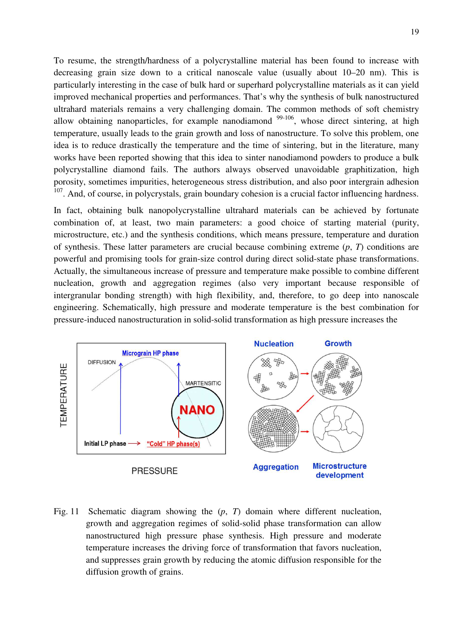To resume, the strength/hardness of a polycrystalline material has been found to increase with decreasing grain size down to a critical nanoscale value (usually about 10–20 nm). This is particularly interesting in the case of bulk hard or superhard polycrystalline materials as it can yield improved mechanical properties and performances. That's why the synthesis of bulk nanostructured ultrahard materials remains a very challenging domain. The common methods of soft chemistry allow obtaining nanoparticles, for example nanodiamond  $99-106$ , whose direct sintering, at high temperature, usually leads to the grain growth and loss of nanostructure. To solve this problem, one idea is to reduce drastically the temperature and the time of sintering, but in the literature, many works have been reported showing that this idea to sinter nanodiamond powders to produce a bulk polycrystalline diamond fails. The authors always observed unavoidable graphitization, high porosity, sometimes impurities, heterogeneous stress distribution, and also poor intergrain adhesion <sup>107</sup>. And, of course, in polycrystals, grain boundary cohesion is a crucial factor influencing hardness.

In fact, obtaining bulk nanopolycrystalline ultrahard materials can be achieved by fortunate combination of, at least, two main parameters: a good choice of starting material (purity, microstructure, etc.) and the synthesis conditions, which means pressure, temperature and duration of synthesis. These latter parameters are crucial because combining extreme (*p*, *T*) conditions are powerful and promising tools for grain-size control during direct solid-state phase transformations. Actually, the simultaneous increase of pressure and temperature make possible to combine different nucleation, growth and aggregation regimes (also very important because responsible of intergranular bonding strength) with high flexibility, and, therefore, to go deep into nanoscale engineering. Schematically, high pressure and moderate temperature is the best combination for pressure-induced nanostructuration in solid-solid transformation as high pressure increases the



Fig. 11 Schematic diagram showing the (*p*, *T*) domain where different nucleation, growth and aggregation regimes of solid-solid phase transformation can allow nanostructured high pressure phase synthesis. High pressure and moderate temperature increases the driving force of transformation that favors nucleation, and suppresses grain growth by reducing the atomic diffusion responsible for the diffusion growth of grains.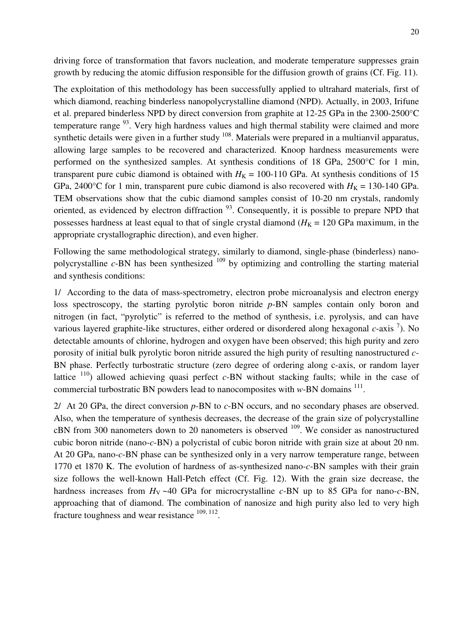driving force of transformation that favors nucleation, and moderate temperature suppresses grain growth by reducing the atomic diffusion responsible for the diffusion growth of grains (Cf. Fig. 11).

The exploitation of this methodology has been successfully applied to ultrahard materials, first of which diamond, reaching binderless nanopolycrystalline diamond (NPD). Actually, in 2003, Irifune et al. prepared binderless NPD by direct conversion from graphite at 12-25 GPa in the 2300-2500°C temperature range  $93$ . Very high hardness values and high thermal stability were claimed and more synthetic details were given in a further study  $108$ . Materials were prepared in a multianvil apparatus, allowing large samples to be recovered and characterized. Knoop hardness measurements were performed on the synthesized samples. At synthesis conditions of 18 GPa, 2500°C for 1 min, transparent pure cubic diamond is obtained with  $H<sub>K</sub> = 100-110$  GPa. At synthesis conditions of 15 GPa, 2400°C for 1 min, transparent pure cubic diamond is also recovered with  $H<sub>K</sub> = 130-140$  GPa. TEM observations show that the cubic diamond samples consist of 10-20 nm crystals, randomly oriented, as evidenced by electron diffraction  $93$ . Consequently, it is possible to prepare NPD that possesses hardness at least equal to that of single crystal diamond  $(H<sub>K</sub> = 120 \text{ GPa} \text{ maximum}, \text{ in the}$ appropriate crystallographic direction), and even higher.

Following the same methodological strategy, similarly to diamond, single-phase (binderless) nanopolycrystalline *c*-BN has been synthesized <sup>109</sup> by optimizing and controlling the starting material and synthesis conditions:

1/ According to the data of mass-spectrometry, electron probe microanalysis and electron energy loss spectroscopy, the starting pyrolytic boron nitride *p*-BN samples contain only boron and nitrogen (in fact, "pyrolytic" is referred to the method of synthesis, i.e. pyrolysis, and can have various layered graphite-like structures, either ordered or disordered along hexagonal *c*-axis <sup>7</sup> ). No detectable amounts of chlorine, hydrogen and oxygen have been observed; this high purity and zero porosity of initial bulk pyrolytic boron nitride assured the high purity of resulting nanostructured *c*-BN phase. Perfectly turbostratic structure (zero degree of ordering along c-axis, or random layer lattice  $110$ ) allowed achieving quasi perfect *c*-BN without stacking faults; while in the case of commercial turbostratic BN powders lead to nanocomposites with  $w$ -BN domains  $^{111}$ .

2/ At 20 GPa, the direct conversion *p*-BN to *c*-BN occurs, and no secondary phases are observed. Also, when the temperature of synthesis decreases, the decrease of the grain size of polycrystalline cBN from 300 nanometers down to 20 nanometers is observed <sup>109</sup>. We consider as nanostructured cubic boron nitride (nano-*c*-BN) a polycristal of cubic boron nitride with grain size at about 20 nm. At 20 GPa, nano-*c*-BN phase can be synthesized only in a very narrow temperature range, between 1770 et 1870 K. The evolution of hardness of as-synthesized nano-*c*-BN samples with their grain size follows the well-known Hall-Petch effect (Cf. Fig. 12). With the grain size decrease, the hardness increases from  $H_V \sim 40$  GPa for microcrystalline *c*-BN up to 85 GPa for nano-*c*-BN, approaching that of diamond. The combination of nanosize and high purity also led to very high fracture toughness and wear resistance  $109, 112$ .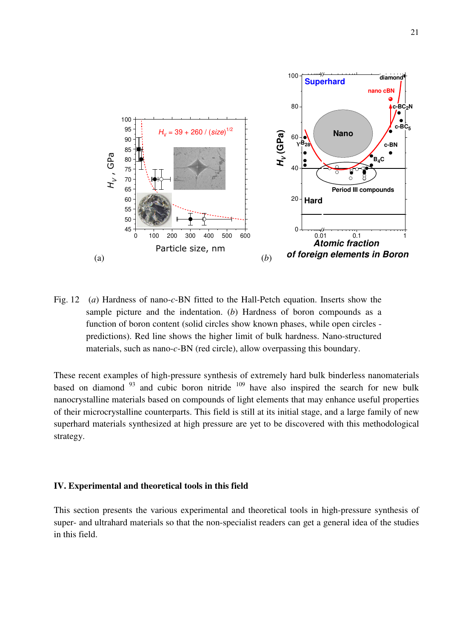

Fig. 12 (*а*) Hardness of nano-*c*-BN fitted to the Hall-Petch equation. Inserts show the sample picture and the indentation. (*b*) Hardness of boron compounds as a function of boron content (solid circles show known phases, while open circles predictions). Red line shows the higher limit of bulk hardness. Nano-structured materials, such as nano-*c*-BN (red circle), allow overpassing this boundary.

These recent examples of high-pressure synthesis of extremely hard bulk binderless nanomaterials based on diamond  $93$  and cubic boron nitride  $109$  have also inspired the search for new bulk nanocrystalline materials based on compounds of light elements that may enhance useful properties of their microcrystalline counterparts. This field is still at its initial stage, and a large family of new superhard materials synthesized at high pressure are yet to be discovered with this methodological strategy.

## **IV. Experimental and theoretical tools in this field**

This section presents the various experimental and theoretical tools in high-pressure synthesis of super- and ultrahard materials so that the non-specialist readers can get a general idea of the studies in this field.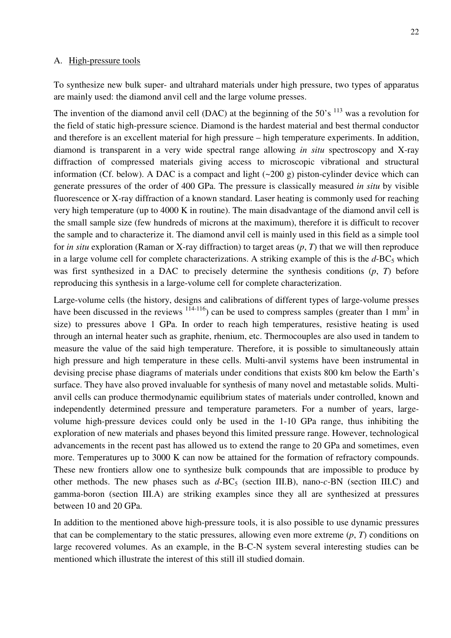#### A. High-pressure tools

To synthesize new bulk super- and ultrahard materials under high pressure, two types of apparatus are mainly used: the diamond anvil cell and the large volume presses.

The invention of the diamond anvil cell (DAC) at the beginning of the  $50^{\circ}$  s  $^{113}$  was a revolution for the field of static high-pressure science. Diamond is the hardest material and best thermal conductor and therefore is an excellent material for high pressure – high temperature experiments. In addition, diamond is transparent in a very wide spectral range allowing *in situ* spectroscopy and X-ray diffraction of compressed materials giving access to microscopic vibrational and structural information (Cf. below). A DAC is a compact and light  $(\sim 200 \text{ g})$  piston-cylinder device which can generate pressures of the order of 400 GPa. The pressure is classically measured *in situ* by visible fluorescence or X-ray diffraction of a known standard. Laser heating is commonly used for reaching very high temperature (up to 4000 K in routine). The main disadvantage of the diamond anvil cell is the small sample size (few hundreds of microns at the maximum), therefore it is difficult to recover the sample and to characterize it. The diamond anvil cell is mainly used in this field as a simple tool for *in situ* exploration (Raman or X-ray diffraction) to target areas (*p*, *T*) that we will then reproduce in a large volume cell for complete characterizations. A striking example of this is the  $d$ -BC<sub>5</sub> which was first synthesized in a DAC to precisely determine the synthesis conditions (*p*, *T*) before reproducing this synthesis in a large-volume cell for complete characterization.

Large-volume cells (the history, designs and calibrations of different types of large-volume presses have been discussed in the reviews  $(114-116)$  can be used to compress samples (greater than 1 mm<sup>3</sup> in size) to pressures above 1 GPa. In order to reach high temperatures, resistive heating is used through an internal heater such as graphite, rhenium, etc. Thermocouples are also used in tandem to measure the value of the said high temperature. Therefore, it is possible to simultaneously attain high pressure and high temperature in these cells. Multi-anvil systems have been instrumental in devising precise phase diagrams of materials under conditions that exists 800 km below the Earth's surface. They have also proved invaluable for synthesis of many novel and metastable solids. Multianvil cells can produce thermodynamic equilibrium states of materials under controlled, known and independently determined pressure and temperature parameters. For a number of years, largevolume high-pressure devices could only be used in the 1-10 GPa range, thus inhibiting the exploration of new materials and phases beyond this limited pressure range. However, technological advancements in the recent past has allowed us to extend the range to 20 GPa and sometimes, even more. Temperatures up to 3000 K can now be attained for the formation of refractory compounds. These new frontiers allow one to synthesize bulk compounds that are impossible to produce by other methods. The new phases such as  $d$ -BC<sub>5</sub> (section III.B), nano-*c*-BN (section III.C) and gamma-boron (section III.A) are striking examples since they all are synthesized at pressures between 10 and 20 GPa.

In addition to the mentioned above high-pressure tools, it is also possible to use dynamic pressures that can be complementary to the static pressures, allowing even more extreme  $(p, T)$  conditions on large recovered volumes. As an example, in the B-C-N system several interesting studies can be mentioned which illustrate the interest of this still ill studied domain.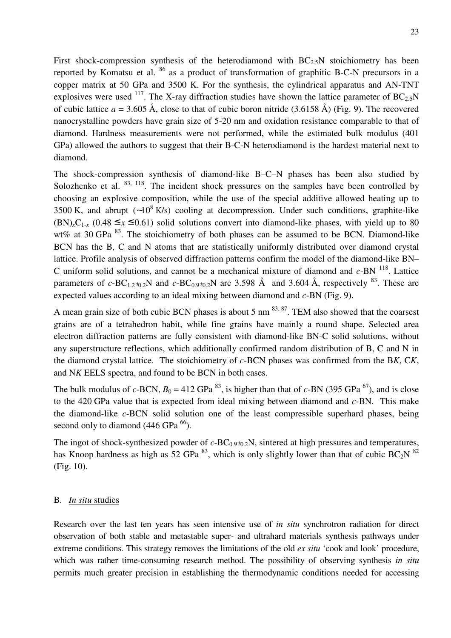First shock-compression synthesis of the heterodiamond with  $BC_{2.5}N$  stoichiometry has been reported by Komatsu et al. <sup>86</sup> as a product of transformation of graphitic B-C-N precursors in a copper matrix at 50 GPa and 3500 K. For the synthesis, the cylindrical apparatus and AN-TNT explosives were used <sup>117</sup>. The X-ray diffraction studies have shown the lattice parameter of BC<sub>2.5</sub>N of cubic lattice  $a = 3.605 \text{ Å}$ , close to that of cubic boron nitride (3.6158 Å) (Fig. 9). The recovered nanocrystalline powders have grain size of 5-20 nm and oxidation resistance comparable to that of diamond. Hardness measurements were not performed, while the estimated bulk modulus (401 GPa) allowed the authors to suggest that their B-C-N heterodiamond is the hardest material next to diamond.

The shock-compression synthesis of diamond-like B–C–N phases has been also studied by Solozhenko et al.  $83, 118$ . The incident shock pressures on the samples have been controlled by choosing an explosive composition, while the use of the special additive allowed heating up to 3500 K, and abrupt  $(-10^8 \text{ K/s})$  cooling at decompression. Under such conditions, graphite-like  $(BN)_{x}C_{1-x}$  (0.48 ≤ *x* ≤ 0.61) solid solutions convert into diamond-like phases, with yield up to 80 wt% at 30 GPa  $^{83}$ . The stoichiometry of both phases can be assumed to be BCN. Diamond-like BCN has the B, C and N atoms that are statistically uniformly distributed over diamond crystal lattice. Profile analysis of observed diffraction patterns confirm the model of the diamond-like BN– C uniform solid solutions, and cannot be a mechanical mixture of diamond and  $c$ -BN  $^{118}$ . Lattice parameters of  $c$ -BC<sub>1.2±0.2</sub>N and  $c$ -BC<sub>0.9±0.2</sub>N are 3.598 Å and 3.604 Å, respectively <sup>83</sup>. These are expected values according to an ideal mixing between diamond and *c*-BN (Fig. 9).

A mean grain size of both cubic BCN phases is about 5 nm  $^{83, 87}$ . TEM also showed that the coarsest grains are of a tetrahedron habit, while fine grains have mainly a round shape. Selected area electron diffraction patterns are fully consistent with diamond-like BN-C solid solutions, without any superstructure reflections, which additionally confirmed random distribution of B, C and N in the diamond crystal lattice. The stoichiometry of *c*-BCN phases was confirmed from the B*K*, C*K*, and N*K* EELS spectra, and found to be BCN in both cases.

The bulk modulus of  $c$ -BCN,  $B_0 = 412$  GPa <sup>83</sup>, is higher than that of  $c$ -BN (395 GPa <sup>67</sup>), and is close to the 420 GPa value that is expected from ideal mixing between diamond and *c*-BN. This make the diamond-like *c*-BCN solid solution one of the least compressible superhard phases, being second only to diamond  $(446 \text{ GPa}^{66})$ .

The ingot of shock-synthesized powder of  $c$ -BC<sub>0.9±0.2</sub>N, sintered at high pressures and temperatures, has Knoop hardness as high as 52 GPa  $^{83}$ , which is only slightly lower than that of cubic BC<sub>2</sub>N  $^{82}$ (Fig. 10).

## B. *In situ* studies

Research over the last ten years has seen intensive use of *in situ* synchrotron radiation for direct observation of both stable and metastable super- and ultrahard materials synthesis pathways under extreme conditions. This strategy removes the limitations of the old *ex situ* 'cook and look' procedure, which was rather time-consuming research method. The possibility of observing synthesis *in situ* permits much greater precision in establishing the thermodynamic conditions needed for accessing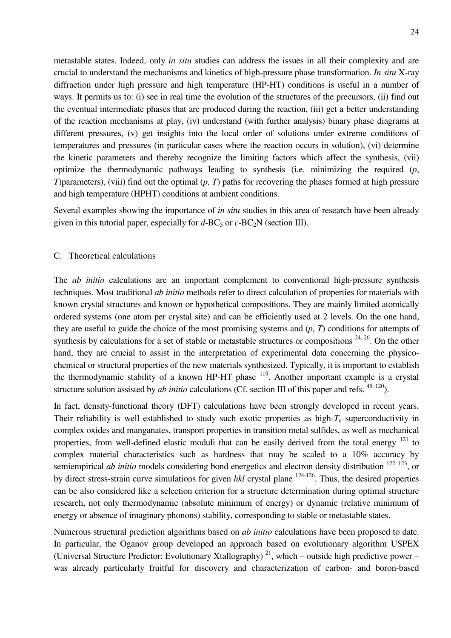metastable states. Indeed, only *in situ* studies can address the issues in all their complexity and are crucial to understand the mechanisms and kinetics of high-pressure phase transformation. *In situ* X-ray diffraction under high pressure and high temperature (HP-HT) conditions is useful in a number of ways. It permits us to: (i) see in real time the evolution of the structures of the precursors, (ii) find out the eventual intermediate phases that are produced during the reaction, (iii) get a better understanding of the reaction mechanisms at play, (iv) understand (with further analysis) binary phase diagrams at different pressures, (v) get insights into the local order of solutions under extreme conditions of temperatures and pressures (in particular cases where the reaction occurs in solution), (vi) determine the kinetic parameters and thereby recognize the limiting factors which affect the synthesis, (vii) optimize the thermodynamic pathways leading to synthesis (i.e. minimizing the required (*p*, *T*)parameters), (viii) find out the optimal (*p*, *T*) paths for recovering the phases formed at high pressure and high temperature (HPHT) conditions at ambient conditions.

Several examples showing the importance of *in situ* studies in this area of research have been already given in this tutorial paper, especially for  $d$ -BC<sub>5</sub> or  $c$ -BC<sub>2</sub>N (section III).

## C. Theoretical calculations

The *ab initio* calculations are an important complement to conventional high-pressure synthesis techniques. Most traditional *ab initio* methods refer to direct calculation of properties for materials with known crystal structures and known or hypothetical compositions. They are mainly limited atomically ordered systems (one atom per crystal site) and can be efficiently used at 2 levels. On the one hand, they are useful to guide the choice of the most promising systems and (*p*, *T*) conditions for attempts of synthesis by calculations for a set of stable or metastable structures or compositions  $24, 26$ . On the other hand, they are crucial to assist in the interpretation of experimental data concerning the physicochemical or structural properties of the new materials synthesized. Typically, it is important to establish the thermodynamic stability of a known HP-HT phase  $^{119}$ . Another important example is a crystal structure solution assisted by *ab initio* calculations (Cf. section III of this paper and refs. <sup>45, 120</sup>).

In fact, density-functional theory (DFT) calculations have been strongly developed in recent years. Their reliability is well established to study such exotic properties as high- $T_c$  superconductivity in complex oxides and manganates, transport properties in transition metal sulfides, as well as mechanical properties, from well-defined elastic moduli that can be easily derived from the total energy <sup>121</sup> to complex material characteristics such as hardness that may be scaled to a 10% accuracy by semiempirical *ab initio* models considering bond energetics and electron density distribution <sup>122, 123</sup>, or by direct stress-strain curve simulations for given *hkl* crystal plane 124-126. Thus, the desired properties can be also considered like a selection criterion for a structure determination during optimal structure research, not only thermodynamic (absolute minimum of energy) or dynamic (relative minimum of energy or absence of imaginary phonons) stability, corresponding to stable or metastable states.

Numerous structural prediction algorithms based on *ab initio* calculations have been proposed to date. In particular, the Oganov group developed an approach based on evolutionary algorithm USPEX (Universal Structure Predictor: Evolutionary Xtallography)<sup>21</sup>, which – outside high predictive power – was already particularly fruitful for discovery and characterization of carbon- and boron-based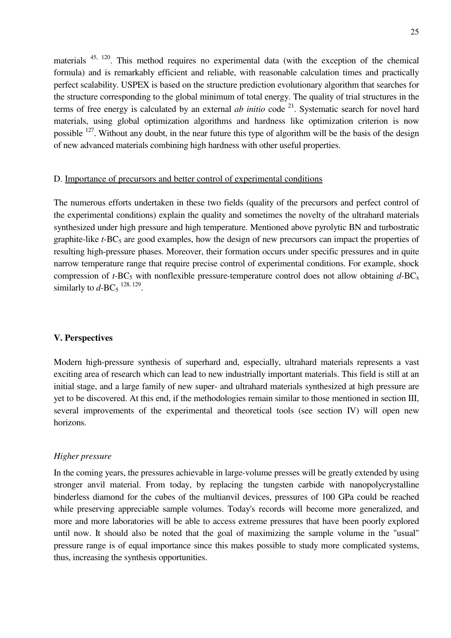materials 45, 120. This method requires no experimental data (with the exception of the chemical formula) and is remarkably efficient and reliable, with reasonable calculation times and practically perfect scalability. USPEX is based on the structure prediction evolutionary algorithm that searches for the structure corresponding to the global minimum of total energy. The quality of trial structures in the terms of free energy is calculated by an external *ab initio* code  $2^1$ . Systematic search for novel hard materials, using global optimization algorithms and hardness like optimization criterion is now possible <sup>127</sup>. Without any doubt, in the near future this type of algorithm will be the basis of the design of new advanced materials combining high hardness with other useful properties.

## D. Importance of precursors and better control of experimental conditions

The numerous efforts undertaken in these two fields (quality of the precursors and perfect control of the experimental conditions) explain the quality and sometimes the novelty of the ultrahard materials synthesized under high pressure and high temperature. Mentioned above pyrolytic BN and turbostratic graphite-like *t*-BC<sub>5</sub> are good examples, how the design of new precursors can impact the properties of resulting high-pressure phases. Moreover, their formation occurs under specific pressures and in quite narrow temperature range that require precise control of experimental conditions. For example, shock compression of  $t$ -BC<sub>5</sub> with nonflexible pressure-temperature control does not allow obtaining  $d$ -BC<sub>x</sub> similarly to  $d$ -BC<sub>5</sub><sup>128, 129</sup>.

## **V. Perspectives**

Modern high-pressure synthesis of superhard and, especially, ultrahard materials represents a vast exciting area of research which can lead to new industrially important materials. This field is still at an initial stage, and a large family of new super- and ultrahard materials synthesized at high pressure are yet to be discovered. At this end, if the methodologies remain similar to those mentioned in section III, several improvements of the experimental and theoretical tools (see section IV) will open new horizons.

#### *Higher pressure*

In the coming years, the pressures achievable in large-volume presses will be greatly extended by using stronger anvil material. From today, by replacing the tungsten carbide with nanopolycrystalline binderless diamond for the cubes of the multianvil devices, pressures of 100 GPa could be reached while preserving appreciable sample volumes. Today's records will become more generalized, and more and more laboratories will be able to access extreme pressures that have been poorly explored until now. It should also be noted that the goal of maximizing the sample volume in the "usual" pressure range is of equal importance since this makes possible to study more complicated systems, thus, increasing the synthesis opportunities.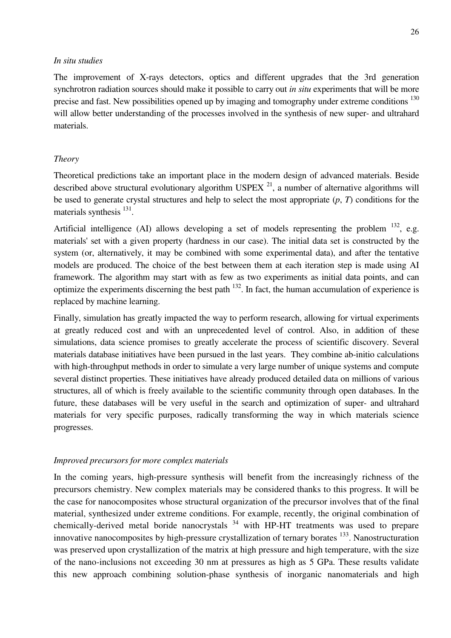## *In situ studies*

The improvement of X-rays detectors, optics and different upgrades that the 3rd generation synchrotron radiation sources should make it possible to carry out *in situ* experiments that will be more precise and fast. New possibilities opened up by imaging and tomography under extreme conditions <sup>130</sup> will allow better understanding of the processes involved in the synthesis of new super- and ultrahard materials.

## *Theory*

Theoretical predictions take an important place in the modern design of advanced materials. Beside described above structural evolutionary algorithm USPEX  $^{21}$ , a number of alternative algorithms will be used to generate crystal structures and help to select the most appropriate (*p*, *T*) conditions for the materials synthesis <sup>131</sup>.

Artificial intelligence (AI) allows developing a set of models representing the problem  $^{132}$ , e.g. materials' set with a given property (hardness in our case). The initial data set is constructed by the system (or, alternatively, it may be combined with some experimental data), and after the tentative models are produced. The choice of the best between them at each iteration step is made using AI framework. The algorithm may start with as few as two experiments as initial data points, and can optimize the experiments discerning the best path <sup>132</sup>. In fact, the human accumulation of experience is replaced by machine learning.

Finally, simulation has greatly impacted the way to perform research, allowing for virtual experiments at greatly reduced cost and with an unprecedented level of control. Also, in addition of these simulations, data science promises to greatly accelerate the process of scientific discovery. Several materials database initiatives have been pursued in the last years. They combine ab-initio calculations with high-throughput methods in order to simulate a very large number of unique systems and compute several distinct properties. These initiatives have already produced detailed data on millions of various structures, all of which is freely available to the scientific community through open databases. In the future, these databases will be very useful in the search and optimization of super- and ultrahard materials for very specific purposes, radically transforming the way in which materials science progresses.

## *Improved precursors for more complex materials*

In the coming years, high-pressure synthesis will benefit from the increasingly richness of the precursors chemistry. New complex materials may be considered thanks to this progress. It will be the case for nanocomposites whose structural organization of the precursor involves that of the final material, synthesized under extreme conditions. For example, recently, the original combination of chemically-derived metal boride nanocrystals  $34$  with HP-HT treatments was used to prepare innovative nanocomposites by high-pressure crystallization of ternary borates  $^{133}$ . Nanostructuration was preserved upon crystallization of the matrix at high pressure and high temperature, with the size of the nano-inclusions not exceeding 30 nm at pressures as high as 5 GPa. These results validate this new approach combining solution-phase synthesis of inorganic nanomaterials and high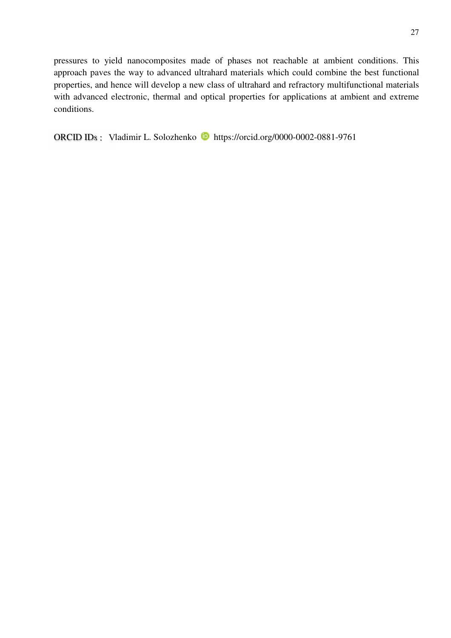pressures to yield nanocomposites made of phases not reachable at ambient conditions. This approach paves the way to advanced ultrahard materials which could combine the best functional properties, and hence will develop a new class of ultrahard and refractory multifunctional materials with advanced electronic, thermal and optical properties for applications at ambient and extreme conditions.

ORCID IDs : Vladimir L. Solozhenko **https://orcid.org/0000-0002-0881-9761**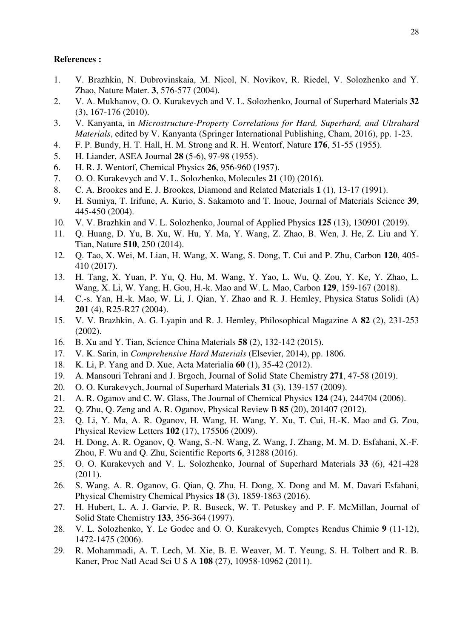## **References :**

- 1. V. Brazhkin, N. Dubrovinskaia, M. Nicol, N. Novikov, R. Riedel, V. Solozhenko and Y. Zhao, Nature Mater. **3**, 576-577 (2004).
- 2. V. A. Mukhanov, O. O. Kurakevych and V. L. Solozhenko, Journal of Superhard Materials **32** (3), 167-176 (2010).
- 3. V. Kanyanta, in *Microstructure-Property Correlations for Hard, Superhard, and Ultrahard Materials*, edited by V. Kanyanta (Springer International Publishing, Cham, 2016), pp. 1-23.
- 4. F. P. Bundy, H. T. Hall, H. M. Strong and R. H. Wentorf, Nature **176**, 51-55 (1955).
- 5. H. Liander, ASEA Journal **28** (5-6), 97-98 (1955).
- 6. H. R. J. Wentorf, Chemical Physics **26**, 956-960 (1957).
- 7. O. O. Kurakevych and V. L. Solozhenko, Molecules **21** (10) (2016).
- 8. C. A. Brookes and E. J. Brookes, Diamond and Related Materials **1** (1), 13-17 (1991).
- 9. H. Sumiya, T. Irifune, A. Kurio, S. Sakamoto and T. Inoue, Journal of Materials Science **39**, 445-450 (2004).
- 10. V. V. Brazhkin and V. L. Solozhenko, Journal of Applied Physics **125** (13), 130901 (2019).
- 11. Q. Huang, D. Yu, B. Xu, W. Hu, Y. Ma, Y. Wang, Z. Zhao, B. Wen, J. He, Z. Liu and Y. Tian, Nature **510**, 250 (2014).
- 12. Q. Tao, X. Wei, M. Lian, H. Wang, X. Wang, S. Dong, T. Cui and P. Zhu, Carbon **120**, 405- 410 (2017).
- 13. H. Tang, X. Yuan, P. Yu, Q. Hu, M. Wang, Y. Yao, L. Wu, Q. Zou, Y. Ke, Y. Zhao, L. Wang, X. Li, W. Yang, H. Gou, H.-k. Mao and W. L. Mao, Carbon **129**, 159-167 (2018).
- 14. C.-s. Yan, H.-k. Mao, W. Li, J. Qian, Y. Zhao and R. J. Hemley, Physica Status Solidi (A) **201** (4), R25-R27 (2004).
- 15. V. V. Brazhkin, A. G. Lyapin and R. J. Hemley, Philosophical Magazine A **82** (2), 231-253 (2002).
- 16. B. Xu and Y. Tian, Science China Materials **58** (2), 132-142 (2015).
- 17. V. K. Sarin, in *Comprehensive Hard Materials* (Elsevier, 2014), pp. 1806.
- 18. K. Li, P. Yang and D. Xue, Acta Materialia **60** (1), 35-42 (2012).
- 19. A. Mansouri Tehrani and J. Brgoch, Journal of Solid State Chemistry **271**, 47-58 (2019).
- 20. O. O. Kurakevych, Journal of Superhard Materials **31** (3), 139-157 (2009).
- 21. A. R. Oganov and C. W. Glass, The Journal of Chemical Physics **124** (24), 244704 (2006).
- 22. Q. Zhu, Q. Zeng and A. R. Oganov, Physical Review B **85** (20), 201407 (2012).
- 23. Q. Li, Y. Ma, A. R. Oganov, H. Wang, H. Wang, Y. Xu, T. Cui, H.-K. Mao and G. Zou, Physical Review Letters **102** (17), 175506 (2009).
- 24. H. Dong, A. R. Oganov, Q. Wang, S.-N. Wang, Z. Wang, J. Zhang, M. M. D. Esfahani, X.-F. Zhou, F. Wu and Q. Zhu, Scientific Reports **6**, 31288 (2016).
- 25. O. O. Kurakevych and V. L. Solozhenko, Journal of Superhard Materials **33** (6), 421-428 (2011).
- 26. S. Wang, A. R. Oganov, G. Qian, Q. Zhu, H. Dong, X. Dong and M. M. Davari Esfahani, Physical Chemistry Chemical Physics **18** (3), 1859-1863 (2016).
- 27. H. Hubert, L. A. J. Garvie, P. R. Buseck, W. T. Petuskey and P. F. McMillan, Journal of Solid State Chemistry **133**, 356-364 (1997).
- 28. V. L. Solozhenko, Y. Le Godec and O. O. Kurakevych, Comptes Rendus Chimie **9** (11-12), 1472-1475 (2006).
- 29. R. Mohammadi, A. T. Lech, M. Xie, B. E. Weaver, M. T. Yeung, S. H. Tolbert and R. B. Kaner, Proc Natl Acad Sci U S A **108** (27), 10958-10962 (2011).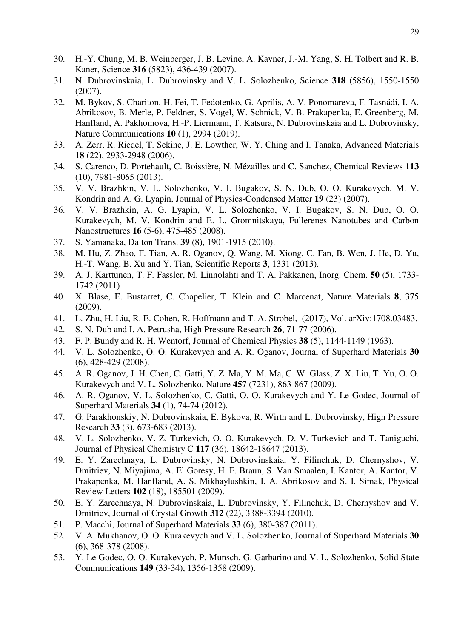- 30. H.-Y. Chung, M. B. Weinberger, J. B. Levine, A. Kavner, J.-M. Yang, S. H. Tolbert and R. B. Kaner, Science **316** (5823), 436-439 (2007).
- 31. N. Dubrovinskaia, L. Dubrovinsky and V. L. Solozhenko, Science **318** (5856), 1550-1550 (2007).
- 32. M. Bykov, S. Chariton, H. Fei, T. Fedotenko, G. Aprilis, A. V. Ponomareva, F. Tasnádi, I. A. Abrikosov, B. Merle, P. Feldner, S. Vogel, W. Schnick, V. B. Prakapenka, E. Greenberg, M. Hanfland, A. Pakhomova, H.-P. Liermann, T. Katsura, N. Dubrovinskaia and L. Dubrovinsky, Nature Communications **10** (1), 2994 (2019).
- 33. A. Zerr, R. Riedel, T. Sekine, J. E. Lowther, W. Y. Ching and I. Tanaka, Advanced Materials **18** (22), 2933-2948 (2006).
- 34. S. Carenco, D. Portehault, C. Boissière, N. Mézailles and C. Sanchez, Chemical Reviews **113** (10), 7981-8065 (2013).
- 35. V. V. Brazhkin, V. L. Solozhenko, V. I. Bugakov, S. N. Dub, O. O. Kurakevych, M. V. Kondrin and A. G. Lyapin, Journal of Physics-Condensed Matter **19** (23) (2007).
- 36. V. V. Brazhkin, A. G. Lyapin, V. L. Solozhenko, V. I. Bugakov, S. N. Dub, O. O. Kurakevych, M. V. Kondrin and E. L. Gromnitskaya, Fullerenes Nanotubes and Carbon Nanostructures **16** (5-6), 475-485 (2008).
- 37. S. Yamanaka, Dalton Trans. **39** (8), 1901-1915 (2010).
- 38. M. Hu, Z. Zhao, F. Tian, A. R. Oganov, Q. Wang, M. Xiong, C. Fan, B. Wen, J. He, D. Yu, H.-T. Wang, B. Xu and Y. Tian, Scientific Reports **3**, 1331 (2013).
- 39. A. J. Karttunen, T. F. Fassler, M. Linnolahti and T. A. Pakkanen, Inorg. Chem. **50** (5), 1733- 1742 (2011).
- 40. X. Blase, E. Bustarret, C. Chapelier, T. Klein and C. Marcenat, Nature Materials **8**, 375 (2009).
- 41. L. Zhu, H. Liu, R. E. Cohen, R. Hoffmann and T. A. Strobel, (2017), Vol. arXiv:1708.03483.
- 42. S. N. Dub and I. A. Petrusha, High Pressure Research **26**, 71-77 (2006).
- 43. F. P. Bundy and R. H. Wentorf, Journal of Chemical Physics **38** (5), 1144-1149 (1963).
- 44. V. L. Solozhenko, O. O. Kurakevych and A. R. Oganov, Journal of Superhard Materials **30** (6), 428-429 (2008).
- 45. A. R. Oganov, J. H. Chen, C. Gatti, Y. Z. Ma, Y. M. Ma, C. W. Glass, Z. X. Liu, T. Yu, O. O. Kurakevych and V. L. Solozhenko, Nature **457** (7231), 863-867 (2009).
- 46. A. R. Oganov, V. L. Solozhenko, C. Gatti, O. O. Kurakevych and Y. Le Godec, Journal of Superhard Materials **34** (1), 74-74 (2012).
- 47. G. Parakhonskiy, N. Dubrovinskaia, E. Bykova, R. Wirth and L. Dubrovinsky, High Pressure Research **33** (3), 673-683 (2013).
- 48. V. L. Solozhenko, V. Z. Turkevich, O. O. Kurakevych, D. V. Turkevich and T. Taniguchi, Journal of Physical Chemistry C **117** (36), 18642-18647 (2013).
- 49. E. Y. Zarechnaya, L. Dubrovinsky, N. Dubrovinskaia, Y. Filinchuk, D. Chernyshov, V. Dmitriev, N. Miyajima, A. El Goresy, H. F. Braun, S. Van Smaalen, I. Kantor, A. Kantor, V. Prakapenka, M. Hanfland, A. S. Mikhaylushkin, I. A. Abrikosov and S. I. Simak, Physical Review Letters **102** (18), 185501 (2009).
- 50. E. Y. Zarechnaya, N. Dubrovinskaia, L. Dubrovinsky, Y. Filinchuk, D. Chernyshov and V. Dmitriev, Journal of Crystal Growth **312** (22), 3388-3394 (2010).
- 51. P. Macchi, Journal of Superhard Materials **33** (6), 380-387 (2011).
- 52. V. A. Mukhanov, O. O. Kurakevych and V. L. Solozhenko, Journal of Superhard Materials **30** (6), 368-378 (2008).
- 53. Y. Le Godec, O. O. Kurakevych, P. Munsch, G. Garbarino and V. L. Solozhenko, Solid State Communications **149** (33-34), 1356-1358 (2009).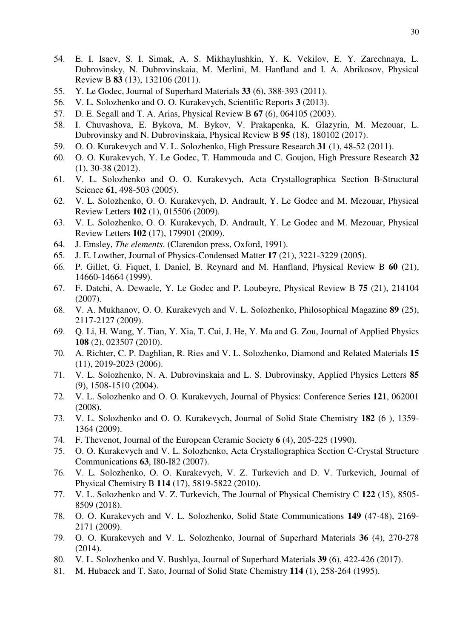- 54. E. I. Isaev, S. I. Simak, A. S. Mikhaylushkin, Y. K. Vekilov, E. Y. Zarechnaya, L. Dubrovinsky, N. Dubrovinskaia, M. Merlini, M. Hanfland and I. A. Abrikosov, Physical Review B **83** (13), 132106 (2011).
- 55. Y. Le Godec, Journal of Superhard Materials **33** (6), 388-393 (2011).
- 56. V. L. Solozhenko and O. O. Kurakevych, Scientific Reports **3** (2013).
- 57. D. E. Segall and T. A. Arias, Physical Review B **67** (6), 064105 (2003).
- 58. I. Chuvashova, E. Bykova, M. Bykov, V. Prakapenka, K. Glazyrin, M. Mezouar, L. Dubrovinsky and N. Dubrovinskaia, Physical Review B **95** (18), 180102 (2017).
- 59. O. O. Kurakevych and V. L. Solozhenko, High Pressure Research **31** (1), 48-52 (2011).
- 60. O. O. Kurakevych, Y. Le Godec, T. Hammouda and C. Goujon, High Pressure Research **32** (1), 30-38 (2012).
- 61. V. L. Solozhenko and O. O. Kurakevych, Acta Crystallographica Section B-Structural Science **61**, 498-503 (2005).
- 62. V. L. Solozhenko, O. O. Kurakevych, D. Andrault, Y. Le Godec and M. Mezouar, Physical Review Letters **102** (1), 015506 (2009).
- 63. V. L. Solozhenko, O. O. Kurakevych, D. Andrault, Y. Le Godec and M. Mezouar, Physical Review Letters **102** (17), 179901 (2009).
- 64. J. Emsley, *The elements*. (Clarendon press, Oxford, 1991).
- 65. J. E. Lowther, Journal of Physics-Condensed Matter **17** (21), 3221-3229 (2005).
- 66. P. Gillet, G. Fiquet, I. Daniel, B. Reynard and M. Hanfland, Physical Review B **60** (21), 14660-14664 (1999).
- 67. F. Datchi, A. Dewaele, Y. Le Godec and P. Loubeyre, Physical Review B **75** (21), 214104 (2007).
- 68. V. A. Mukhanov, O. O. Kurakevych and V. L. Solozhenko, Philosophical Magazine **89** (25), 2117-2127 (2009).
- 69. Q. Li, H. Wang, Y. Tian, Y. Xia, T. Cui, J. He, Y. Ma and G. Zou, Journal of Applied Physics **108** (2), 023507 (2010).
- 70. A. Richter, C. P. Daghlian, R. Ries and V. L. Solozhenko, Diamond and Related Materials **15** (11), 2019-2023 (2006).
- 71. V. L. Solozhenko, N. A. Dubrovinskaia and L. S. Dubrovinsky, Applied Physics Letters **85** (9), 1508-1510 (2004).
- 72. V. L. Solozhenko and O. O. Kurakevych, Journal of Physics: Conference Series **121**, 062001 (2008).
- 73. V. L. Solozhenko and O. O. Kurakevych, Journal of Solid State Chemistry **182** (6 ), 1359- 1364 (2009).
- 74. F. Thevenot, Journal of the European Ceramic Society **6** (4), 205-225 (1990).
- 75. O. O. Kurakevych and V. L. Solozhenko, Acta Crystallographica Section C-Crystal Structure Communications **63**, I80-I82 (2007).
- 76. V. L. Solozhenko, O. O. Kurakevych, V. Z. Turkevich and D. V. Turkevich, Journal of Physical Chemistry B **114** (17), 5819-5822 (2010).
- 77. V. L. Solozhenko and V. Z. Turkevich, The Journal of Physical Chemistry C **122** (15), 8505- 8509 (2018).
- 78. O. O. Kurakevych and V. L. Solozhenko, Solid State Communications **149** (47-48), 2169- 2171 (2009).
- 79. O. O. Kurakevych and V. L. Solozhenko, Journal of Superhard Materials **36** (4), 270-278 (2014).
- 80. V. L. Solozhenko and V. Bushlya, Journal of Superhard Materials **39** (6), 422-426 (2017).
- 81. M. Hubacek and T. Sato, Journal of Solid State Chemistry **114** (1), 258-264 (1995).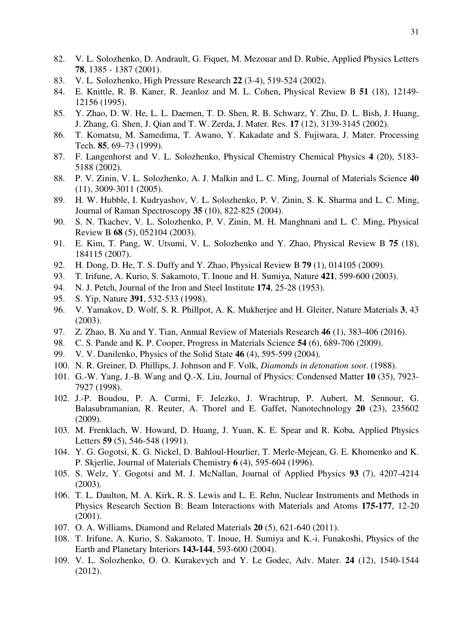- 82. V. L. Solozhenko, D. Andrault, G. Fiquet, M. Mezouar and D. Rubie, Applied Physics Letters **78**, 1385 - 1387 (2001).
- 83. V. L. Solozhenko, High Pressure Research **22** (3-4), 519-524 (2002).
- 84. E. Knittle, R. B. Kaner, R. Jeanloz and M. L. Cohen, Physical Review B **51** (18), 12149- 12156 (1995).
- 85. Y. Zhao, D. W. He, L. L. Daemen, T. D. Shen, R. B. Schwarz, Y. Zhu, D. L. Bish, J. Huang, J. Zhang, G. Shen, J. Qian and T. W. Zerda, J. Mater. Res. **17** (12), 3139-3145 (2002).
- 86. T. Komatsu, M. Samedima, T. Awano, Y. Kakadate and S. Fujiwara, J. Mater. Processing Tech. **85**, 69–73 (1999).
- 87. F. Langenhorst and V. L. Solozhenko, Physical Chemistry Chemical Physics **4** (20), 5183- 5188 (2002).
- 88. P. V. Zinin, V. L. Solozhenko, A. J. Malkin and L. C. Ming, Journal of Materials Science **40** (11), 3009-3011 (2005).
- 89. H. W. Hubble, I. Kudryashov, V. L. Solozhenko, P. V. Zinin, S. K. Sharma and L. C. Ming, Journal of Raman Spectroscopy **35** (10), 822-825 (2004).
- 90. S. N. Tkachev, V. L. Solozhenko, P. V. Zinin, M. H. Manghnani and L. C. Ming, Physical Review B **68** (5), 052104 (2003).
- 91. E. Kim, T. Pang, W. Utsumi, V. L. Solozhenko and Y. Zhao, Physical Review B **75** (18), 184115 (2007).
- 92. H. Dong, D. He, T. S. Duffy and Y. Zhao, Physical Review B **79** (1), 014105 (2009).
- 93. T. Irifune, A. Kurio, S. Sakamoto, T. Inoue and H. Sumiya, Nature **421**, 599-600 (2003).
- 94. N. J. Petch, Journal of the Iron and Steel Institute **174**, 25-28 (1953).
- 95. S. Yip, Nature **391**, 532-533 (1998).
- 96. V. Yamakov, D. Wolf, S. R. Phillpot, A. K. Mukherjee and H. Gleiter, Nature Materials **3**, 43 (2003).
- 97. Z. Zhao, B. Xu and Y. Tian, Annual Review of Materials Research **46** (1), 383-406 (2016).
- 98. C. S. Pande and K. P. Cooper, Progress in Materials Science **54** (6), 689-706 (2009).
- 99. V. V. Danilenko, Physics of the Solid State **46** (4), 595-599 (2004).
- 100. N. R. Greiner, D. Phillips, J. Johnson and F. Volk, *Diamonds in detonation soot*. (1988).
- 101. G.-W. Yang, J.-B. Wang and Q.-X. Liu, Journal of Physics: Condensed Matter **10** (35), 7923- 7927 (1998).
- 102. J.-P. Boudou, P. A. Curmi, F. Jelezko, J. Wrachtrup, P. Aubert, M. Sennour, G. Balasubramanian, R. Reuter, A. Thorel and E. Gaffet, Nanotechnology **20** (23), 235602 (2009).
- 103. M. Frenklach, W. Howard, D. Huang, J. Yuan, K. E. Spear and R. Koba, Applied Physics Letters **59** (5), 546-548 (1991).
- 104. Y. G. Gogotsi, K. G. Nickel, D. Bahloul-Hourlier, T. Merle-Mejean, G. E. Khomenko and K. P. Skjerlie, Journal of Materials Chemistry **6** (4), 595-604 (1996).
- 105. S. Welz, Y. Gogotsi and M. J. McNallan, Journal of Applied Physics **93** (7), 4207-4214 (2003).
- 106. T. L. Daulton, M. A. Kirk, R. S. Lewis and L. E. Rehn, Nuclear Instruments and Methods in Physics Research Section B: Beam Interactions with Materials and Atoms **175-177**, 12-20 (2001).
- 107. O. A. Williams, Diamond and Related Materials **20** (5), 621-640 (2011).
- 108. T. Irifune, A. Kurio, S. Sakamoto, T. Inoue, H. Sumiya and K.-i. Funakoshi, Physics of the Earth and Planetary Interiors **143-144**, 593-600 (2004).
- 109. V. L. Solozhenko, O. O. Kurakevych and Y. Le Godec, Adv. Mater. **24** (12), 1540-1544 (2012).